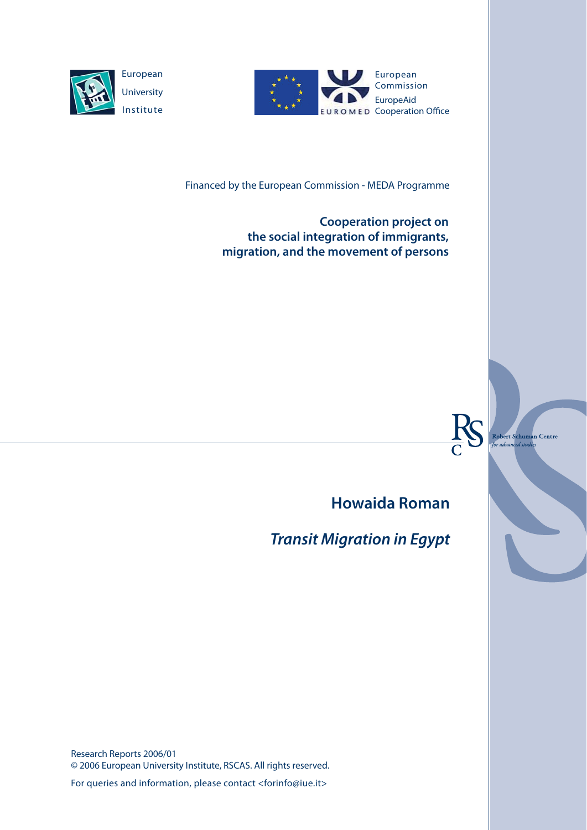



Financed by the European Commission - MEDA Programme

**Cooperation project on the social integration of immigrants, migration, and the movement of persons**



Robert S<mark>chuman Centre</mark> advar ed studie

**Howaida Roman**

*Transit Migration in Egypt*

Research Reports 2006/01 © 2006 European University Institute, RSCAS. All rights reserved.

For queries and information, please contact <forinfo@iue.it>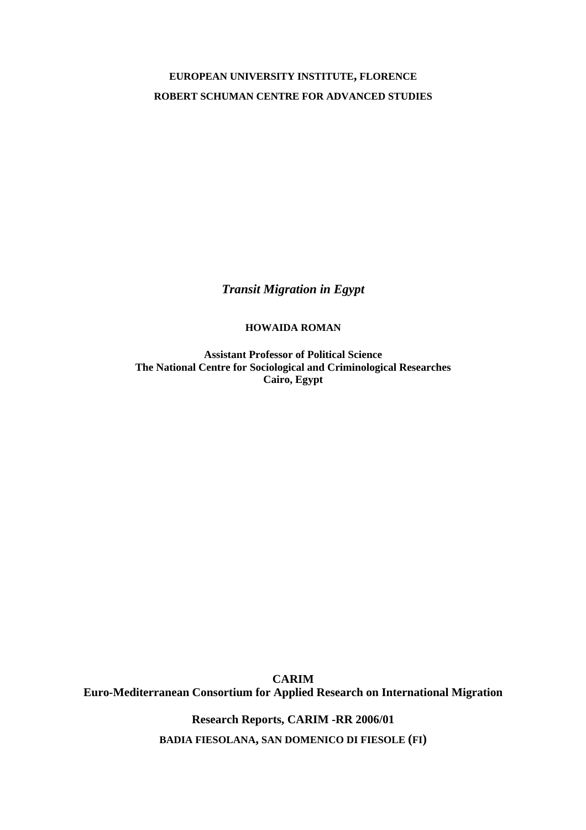# **EUROPEAN UNIVERSITY INSTITUTE, FLORENCE ROBERT SCHUMAN CENTRE FOR ADVANCED STUDIES**

*Transit Migration in Egypt* 

**HOWAIDA ROMAN**

**Assistant Professor of Political Science The National Centre for Sociological and Criminological Researches Cairo, Egypt** 

**CARIM Euro-Mediterranean Consortium for Applied Research on International Migration** 

> **Research Reports, CARIM -RR 2006/01 BADIA FIESOLANA, SAN DOMENICO DI FIESOLE (FI)**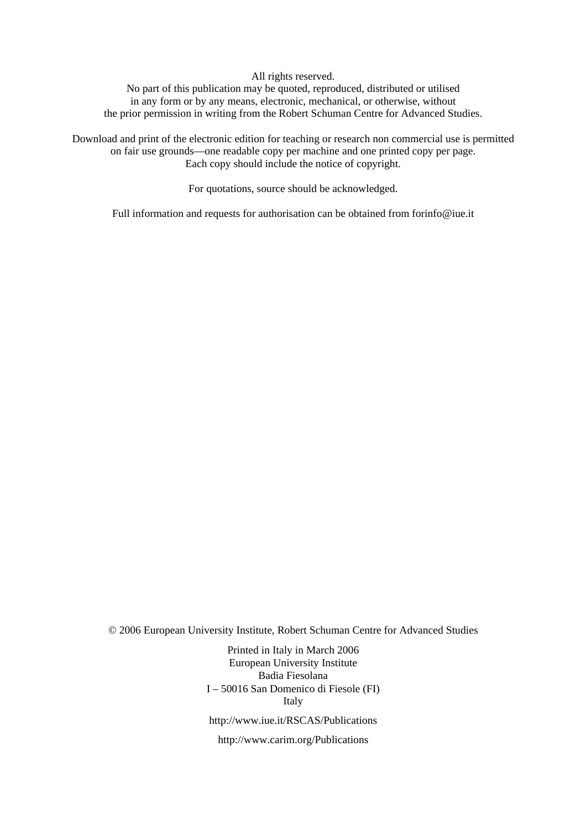All rights reserved.

No part of this publication may be quoted, reproduced, distributed or utilised in any form or by any means, electronic, mechanical, or otherwise, without the prior permission in writing from the Robert Schuman Centre for Advanced Studies.

Download and print of the electronic edition for teaching or research non commercial use is permitted on fair use grounds—one readable copy per machine and one printed copy per page. Each copy should include the notice of copyright.

For quotations, source should be acknowledged.

Full information and requests for authorisation can be obtained from forinfo@iue.it

© 2006 European University Institute, Robert Schuman Centre for Advanced Studies

Printed in Italy in March 2006 European University Institute Badia Fiesolana I – 50016 San Domenico di Fiesole (FI) Italy <http://www.iue.it/RSCAS/Publications>

<http://www.carim.org/Publications>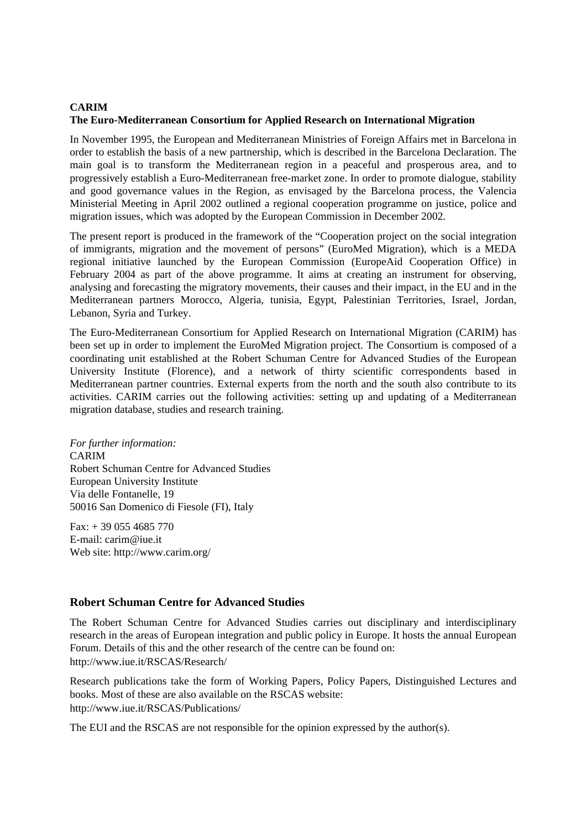# **CARIM The Euro-Mediterranean Consortium for Applied Research on International Migration**

In November 1995, the European and Mediterranean Ministries of Foreign Affairs met in Barcelona in order to establish the basis of a new partnership, which is described in the Barcelona Declaration. The main goal is to transform the Mediterranean region in a peaceful and prosperous area, and to progressively establish a Euro-Mediterranean free-market zone. In order to promote dialogue, stability and good governance values in the Region, as envisaged by the Barcelona process, the Valencia Ministerial Meeting in April 2002 outlined a regional cooperation programme on justice, police and migration issues, which was adopted by the European Commission in December 2002.

The present report is produced in the framework of the "Cooperation project on the social integration of immigrants, migration and the movement of persons" (EuroMed Migration), which is a MEDA regional initiative launched by the European Commission (EuropeAid Cooperation Office) in February 2004 as part of the above programme. It aims at creating an instrument for observing, analysing and forecasting the migratory movements, their causes and their impact, in the EU and in the [Mediterranean partners Morocco,](http://www.iue.it/RSCAS/Research/) Algeria, tunisia, Egypt, Palestinian Territories, Israel, Jordan, Lebanon, Syria and Turkey.

The Euro-Mediterranean Consortium for Applied Research on International Migration (CARIM) has [been set up in order to implement the E](http://www.iue.it/RSCAS/Publications/)uroMed Migration project. The Consortium is composed of a coordinating unit established at the Robert Schuman Centre for Advanced Studies of the European University Institute (Florence), and a network of thirty scientific correspondents based in Mediterranean partner countries. External experts from the north and the south also contribute to its activities. CARIM carries out the following activities: setting up and updating of a Mediterranean migration database, studies and research training.

*For further information:*  CARIM Robert Schuman Centre for Advanced Studies European University Institute Via delle Fontanelle, 19 50016 San Domenico di Fiesole (FI), Italy

 $Fax: + 390554685770$ E-mail: carim@iue.it Web site: http://www.carim.org/

# **Robert Schuman Centre for Advanced Studies**

The Robert Schuman Centre for Advanced Studies carries out disciplinary and interdisciplinary research in the areas of European integration and public policy in Europe. It hosts the annual European Forum. Details of this and the other research of the centre can be found on: http://www.iue.it/RSCAS/Research/

Research publications take the form of Working Papers, Policy Papers, Distinguished Lectures and books. Most of these are also available on the RSCAS website: http://www.iue.it/RSCAS/Publications/

The EUI [and the RSCAS are not](http://www.carim.org/) responsible for the opinion expressed by the author(s).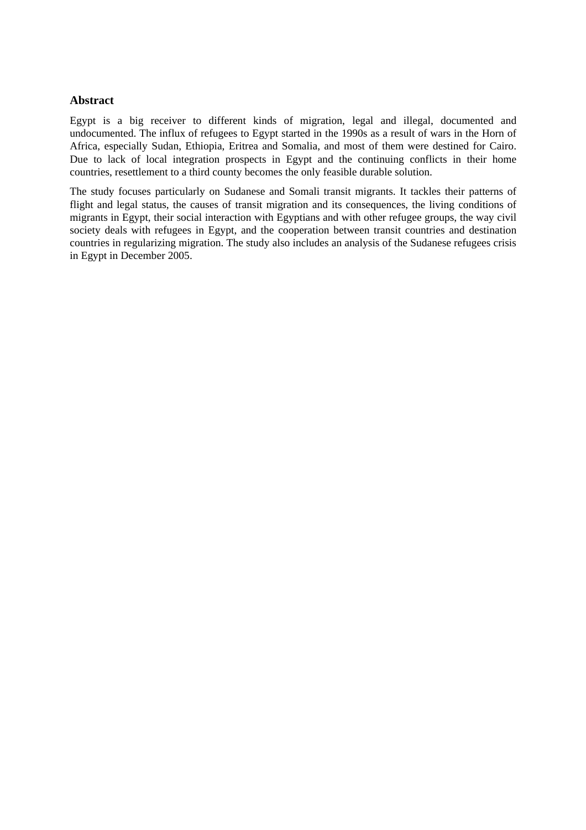## **Abstract**

Egypt is a big receiver to different kinds of migration, legal and illegal, documented and undocumented. The influx of refugees to Egypt started in the 1990s as a result of wars in the Horn of Africa, especially Sudan, Ethiopia, Eritrea and Somalia, and most of them were destined for Cairo. Due to lack of local integration prospects in Egypt and the continuing conflicts in their home countries, resettlement to a third county becomes the only feasible durable solution.

The study focuses particularly on Sudanese and Somali transit migrants. It tackles their patterns of flight and legal status, the causes of transit migration and its consequences, the living conditions of migrants in Egypt, their social interaction with Egyptians and with other refugee groups, the way civil society deals with refugees in Egypt, and the cooperation between transit countries and destination countries in regularizing migration. The study also includes an analysis of the Sudanese refugees crisis in Egypt in December 2005.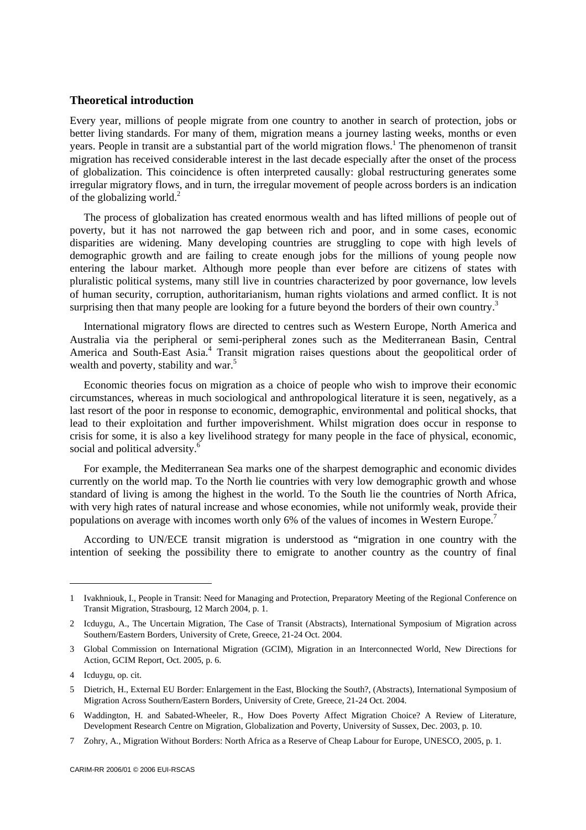### **Theoretical introduction**

Every year, millions of people migrate from one country to another in search of protection, jobs or better living standards. For many of them, migration means a journey lasting weeks, months or even years. People in transit are a substantial part of the world migration flows.<sup>1</sup> The phenomenon of transit migration has received considerable interest in the last decade especially after the onset of the process of globalization. This coincidence is often interpreted causally: global restructuring generates some irregular migratory flows, and in turn, the irregular movement of people across borders is an indication of the globalizing world.<sup>2</sup>

The process of globalization has created enormous wealth and has lifted millions of people out of poverty, but it has not narrowed the gap between rich and poor, and in some cases, economic disparities are widening. Many developing countries are struggling to cope with high levels of demographic growth and are failing to create enough jobs for the millions of young people now entering the labour market. Although more people than ever before are citizens of states with pluralistic political systems, many still live in countries characterized by poor governance, low levels of human security, corruption, authoritarianism, human rights violations and armed conflict. It is not surprising then that many people are looking for a future beyond the borders of their own country.<sup>3</sup>

International migratory flows are directed to centres such as Western Europe, North America and Australia via the peripheral or semi-peripheral zones such as the Mediterranean Basin, Central America and South-East Asia.<sup>4</sup> Transit migration raises questions about the geopolitical order of wealth and poverty, stability and war.<sup>5</sup>

Economic theories focus on migration as a choice of people who wish to improve their economic circumstances, whereas in much sociological and anthropological literature it is seen, negatively, as a last resort of the poor in response to economic, demographic, environmental and political shocks, that lead to their exploitation and further impoverishment. Whilst migration does occur in response to crisis for some, it is also a key livelihood strategy for many people in the face of physical, economic, social and political adversity.<sup>6</sup>

For example, the Mediterranean Sea marks one of the sharpest demographic and economic divides currently on the world map. To the North lie countries with very low demographic growth and whose standard of living is among the highest in the world. To the South lie the countries of North Africa, with very high rates of natural increase and whose economies, while not uniformly weak, provide their populations on average with incomes worth only 6% of the values of incomes in Western Europe.<sup>7</sup>

According to UN/ECE transit migration is understood as "migration in one country with the intention of seeking the possibility there to emigrate to another country as the country of final

 $\overline{\phantom{a}}$ 

<sup>1</sup> Ivakhniouk, I., People in Transit: Need for Managing and Protection, Preparatory Meeting of the Regional Conference on Transit Migration, Strasbourg, 12 March 2004, p. 1.

<sup>2</sup> Icduygu, A., The Uncertain Migration, The Case of Transit (Abstracts), International Symposium of Migration across Southern/Eastern Borders, University of Crete, Greece, 21-24 Oct. 2004.

<sup>3</sup> Global Commission on International Migration (GCIM), Migration in an Interconnected World, New Directions for Action, GCIM Report, Oct. 2005, p. 6.

<sup>4</sup> Icduygu, op. cit.

<sup>5</sup> Dietrich, H., External EU Border: Enlargement in the East, Blocking the South?, (Abstracts), International Symposium of Migration Across Southern/Eastern Borders, University of Crete, Greece, 21-24 Oct. 2004.

<sup>6</sup> Waddington, H. and Sabated-Wheeler, R., How Does Poverty Affect Migration Choice? A Review of Literature, Development Research Centre on Migration, Globalization and Poverty, University of Sussex, Dec. 2003, p. 10.

<sup>7</sup> Zohry, A., Migration Without Borders: North Africa as a Reserve of Cheap Labour for Europe, UNESCO, 2005, p. 1.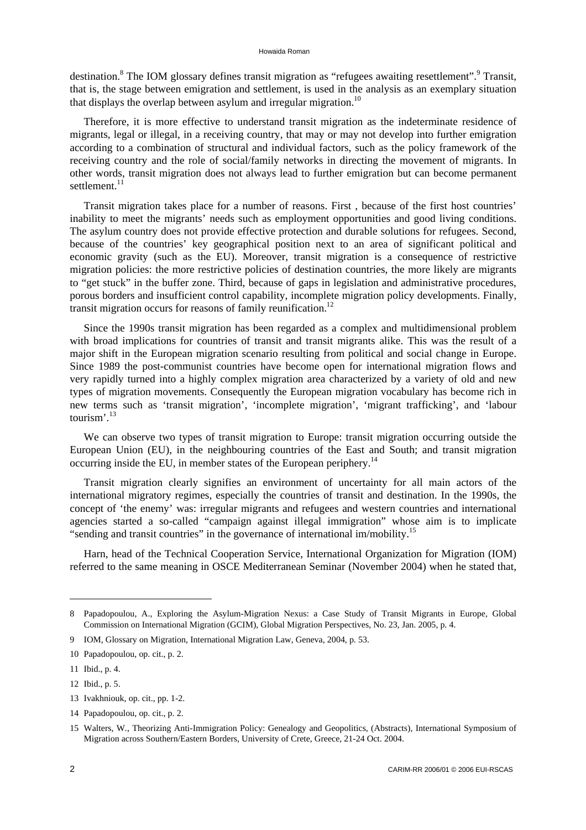destination.<sup>8</sup> The IOM glossary defines transit migration as "refugees awaiting resettlement".<sup>9</sup> Transit, that is, the stage between emigration and settlement, is used in the analysis as an exemplary situation that displays the overlap between asylum and irregular migration.<sup>10</sup>

Therefore, it is more effective to understand transit migration as the indeterminate residence of migrants, legal or illegal, in a receiving country, that may or may not develop into further emigration according to a combination of structural and individual factors, such as the policy framework of the receiving country and the role of social/family networks in directing the movement of migrants. In other words, transit migration does not always lead to further emigration but can become permanent settlement.<sup>11</sup>

Transit migration takes place for a number of reasons. First , because of the first host countries' inability to meet the migrants' needs such as employment opportunities and good living conditions. The asylum country does not provide effective protection and durable solutions for refugees. Second, because of the countries' key geographical position next to an area of significant political and economic gravity (such as the EU). Moreover, transit migration is a consequence of restrictive migration policies: the more restrictive policies of destination countries, the more likely are migrants to "get stuck" in the buffer zone. Third, because of gaps in legislation and administrative procedures, porous borders and insufficient control capability, incomplete migration policy developments. Finally, transit migration occurs for reasons of family reunification.<sup>12</sup>

Since the 1990s transit migration has been regarded as a complex and multidimensional problem with broad implications for countries of transit and transit migrants alike. This was the result of a major shift in the European migration scenario resulting from political and social change in Europe. Since 1989 the post-communist countries have become open for international migration flows and very rapidly turned into a highly complex migration area characterized by a variety of old and new types of migration movements. Consequently the European migration vocabulary has become rich in new terms such as 'transit migration', 'incomplete migration', 'migrant trafficking', and 'labour tourism'.<sup>13</sup>

We can observe two types of transit migration to Europe: transit migration occurring outside the European Union (EU), in the neighbouring countries of the East and South; and transit migration occurring inside the EU, in member states of the European periphery.<sup>14</sup>

Transit migration clearly signifies an environment of uncertainty for all main actors of the international migratory regimes, especially the countries of transit and destination. In the 1990s, the concept of 'the enemy' was: irregular migrants and refugees and western countries and international agencies started a so-called "campaign against illegal immigration" whose aim is to implicate "sending and transit countries" in the governance of international im/mobility.15

Harn, head of the Technical Cooperation Service, International Organization for Migration (IOM) referred to the same meaning in OSCE Mediterranean Seminar (November 2004) when he stated that,

<sup>8</sup> Papadopoulou, A., Exploring the Asylum-Migration Nexus: a Case Study of Transit Migrants in Europe, Global Commission on International Migration (GCIM), Global Migration Perspectives, No. 23, Jan. 2005, p. 4.

<sup>9</sup> IOM, Glossary on Migration, International Migration Law, Geneva, 2004, p. 53.

<sup>10</sup> Papadopoulou, op. cit., p. 2.

<sup>11</sup> Ibid., p. 4.

<sup>12</sup> Ibid., p. 5.

<sup>13</sup> Ivakhniouk, op. cit., pp. 1-2.

<sup>14</sup> Papadopoulou, op. cit., p. 2.

<sup>15</sup> Walters, W., Theorizing Anti-Immigration Policy: Genealogy and Geopolitics, (Abstracts), International Symposium of Migration across Southern/Eastern Borders, University of Crete, Greece, 21-24 Oct. 2004.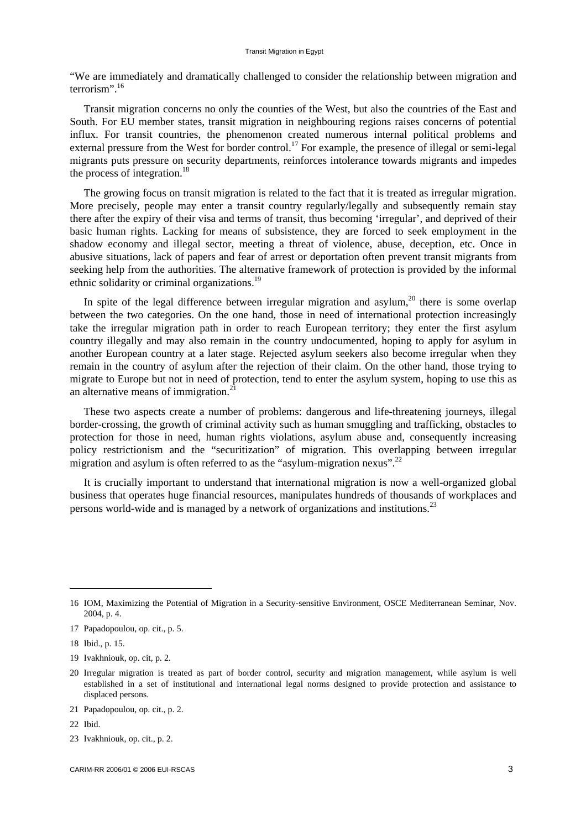"We are immediately and dramatically challenged to consider the relationship between migration and terrorism".<sup>16</sup>

Transit migration concerns no only the counties of the West, but also the countries of the East and South. For EU member states, transit migration in neighbouring regions raises concerns of potential influx. For transit countries, the phenomenon created numerous internal political problems and external pressure from the West for border control.<sup>17</sup> For example, the presence of illegal or semi-legal migrants puts pressure on security departments, reinforces intolerance towards migrants and impedes the process of integration.<sup>18</sup>

The growing focus on transit migration is related to the fact that it is treated as irregular migration. More precisely, people may enter a transit country regularly/legally and subsequently remain stay there after the expiry of their visa and terms of transit, thus becoming 'irregular', and deprived of their basic human rights. Lacking for means of subsistence, they are forced to seek employment in the shadow economy and illegal sector, meeting a threat of violence, abuse, deception, etc. Once in abusive situations, lack of papers and fear of arrest or deportation often prevent transit migrants from seeking help from the authorities. The alternative framework of protection is provided by the informal ethnic solidarity or criminal organizations.19

In spite of the legal difference between irregular migration and asylum, $^{20}$  there is some overlap between the two categories. On the one hand, those in need of international protection increasingly take the irregular migration path in order to reach European territory; they enter the first asylum country illegally and may also remain in the country undocumented, hoping to apply for asylum in another European country at a later stage. Rejected asylum seekers also become irregular when they remain in the country of asylum after the rejection of their claim. On the other hand, those trying to migrate to Europe but not in need of protection, tend to enter the asylum system, hoping to use this as an alternative means of immigration.<sup>21</sup>

These two aspects create a number of problems: dangerous and life-threatening journeys, illegal border-crossing, the growth of criminal activity such as human smuggling and trafficking, obstacles to protection for those in need, human rights violations, asylum abuse and, consequently increasing policy restrictionism and the "securitization" of migration. This overlapping between irregular migration and asylum is often referred to as the "asylum-migration nexus".<sup>22</sup>

It is crucially important to understand that international migration is now a well-organized global business that operates huge financial resources, manipulates hundreds of thousands of workplaces and persons world-wide and is managed by a network of organizations and institutions.<sup>23</sup>

l

19 Ivakhniouk, op. cit, p. 2.

<sup>16</sup> IOM, Maximizing the Potential of Migration in a Security-sensitive Environment, OSCE Mediterranean Seminar, Nov. 2004, p. 4.

<sup>17</sup> Papadopoulou, op. cit., p. 5.

<sup>18</sup> Ibid., p. 15.

<sup>20</sup> Irregular migration is treated as part of border control, security and migration management, while asylum is well established in a set of institutional and international legal norms designed to provide protection and assistance to displaced persons.

<sup>21</sup> Papadopoulou, op. cit., p. 2.

<sup>22</sup> Ibid.

<sup>23</sup> Ivakhniouk, op. cit., p. 2.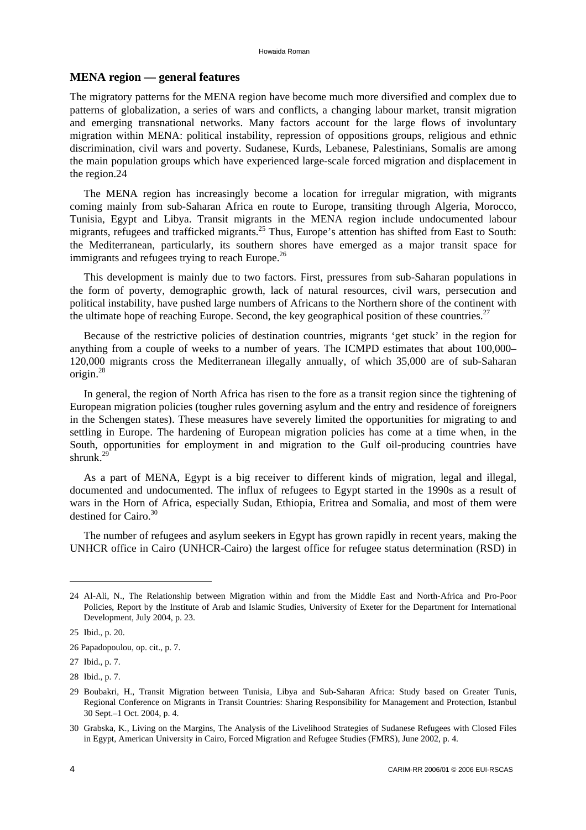### **MENA region — general features**

The migratory patterns for the MENA region have become much more diversified and complex due to patterns of globalization, a series of wars and conflicts, a changing labour market, transit migration and emerging transnational networks. Many factors account for the large flows of involuntary migration within MENA: political instability, repression of oppositions groups, religious and ethnic discrimination, civil wars and poverty. Sudanese, Kurds, Lebanese, Palestinians, Somalis are among the main population groups which have experienced large-scale forced migration and displacement in the region.24

The MENA region has increasingly become a location for irregular migration, with migrants coming mainly from sub-Saharan Africa en route to Europe, transiting through Algeria, Morocco, Tunisia, Egypt and Libya. Transit migrants in the MENA region include undocumented labour migrants, refugees and trafficked migrants.<sup>25</sup> Thus, Europe's attention has shifted from East to South: the Mediterranean, particularly, its southern shores have emerged as a major transit space for immigrants and refugees trying to reach Europe. $^{26}$ 

This development is mainly due to two factors. First, pressures from sub-Saharan populations in the form of poverty, demographic growth, lack of natural resources, civil wars, persecution and political instability, have pushed large numbers of Africans to the Northern shore of the continent with the ultimate hope of reaching Europe. Second, the key geographical position of these countries.<sup>27</sup>

Because of the restrictive policies of destination countries, migrants 'get stuck' in the region for anything from a couple of weeks to a number of years. The ICMPD estimates that about 100,000– 120,000 migrants cross the Mediterranean illegally annually, of which 35,000 are of sub-Saharan origin.28

In general, the region of North Africa has risen to the fore as a transit region since the tightening of European migration policies (tougher rules governing asylum and the entry and residence of foreigners in the Schengen states). These measures have severely limited the opportunities for migrating to and settling in Europe. The hardening of European migration policies has come at a time when, in the South, opportunities for employment in and migration to the Gulf oil-producing countries have shrunk. $^{29}$ 

As a part of MENA, Egypt is a big receiver to different kinds of migration, legal and illegal, documented and undocumented. The influx of refugees to Egypt started in the 1990s as a result of wars in the Horn of Africa, especially Sudan, Ethiopia, Eritrea and Somalia, and most of them were destined for Cairo.<sup>30</sup>

The number of refugees and asylum seekers in Egypt has grown rapidly in recent years, making the UNHCR office in Cairo (UNHCR-Cairo) the largest office for refugee status determination (RSD) in

<sup>24</sup> Al-Ali, N., The Relationship between Migration within and from the Middle East and North-Africa and Pro-Poor Policies, Report by the Institute of Arab and Islamic Studies, University of Exeter for the Department for International Development, July 2004, p. 23.

<sup>25</sup> Ibid., p. 20.

<sup>26</sup> Papadopoulou, op. cit., p. 7.

<sup>27</sup> Ibid., p. 7.

<sup>28</sup> Ibid., p. 7.

<sup>29</sup> Boubakri, H., Transit Migration between Tunisia, Libya and Sub-Saharan Africa: Study based on Greater Tunis, Regional Conference on Migrants in Transit Countries: Sharing Responsibility for Management and Protection, Istanbul 30 Sept.–1 Oct. 2004, p. 4.

<sup>30</sup> Grabska, K., Living on the Margins, The Analysis of the Livelihood Strategies of Sudanese Refugees with Closed Files in Egypt, American University in Cairo, Forced Migration and Refugee Studies (FMRS), June 2002, p. 4.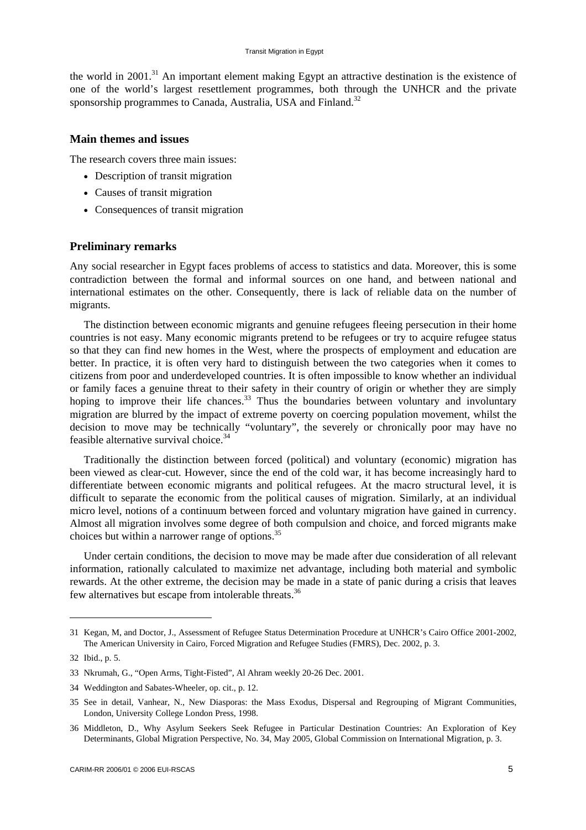the world in 2001.<sup>31</sup> An important element making Egypt an attractive destination is the existence of one of the world's largest resettlement programmes, both through the UNHCR and the private sponsorship programmes to Canada, Australia, USA and Finland.<sup>32</sup>

### **Main themes and issues**

The research covers three main issues:

- Description of transit migration
- Causes of transit migration
- Consequences of transit migration

### **Preliminary remarks**

Any social researcher in Egypt faces problems of access to statistics and data. Moreover, this is some contradiction between the formal and informal sources on one hand, and between national and international estimates on the other. Consequently, there is lack of reliable data on the number of migrants.

The distinction between economic migrants and genuine refugees fleeing persecution in their home countries is not easy. Many economic migrants pretend to be refugees or try to acquire refugee status so that they can find new homes in the West, where the prospects of employment and education are better. In practice, it is often very hard to distinguish between the two categories when it comes to citizens from poor and underdeveloped countries. It is often impossible to know whether an individual or family faces a genuine threat to their safety in their country of origin or whether they are simply hoping to improve their life chances.<sup>33</sup> Thus the boundaries between voluntary and involuntary migration are blurred by the impact of extreme poverty on coercing population movement, whilst the decision to move may be technically "voluntary", the severely or chronically poor may have no feasible alternative survival choice.<sup>34</sup>

Traditionally the distinction between forced (political) and voluntary (economic) migration has been viewed as clear-cut. However, since the end of the cold war, it has become increasingly hard to differentiate between economic migrants and political refugees. At the macro structural level, it is difficult to separate the economic from the political causes of migration. Similarly, at an individual micro level, notions of a continuum between forced and voluntary migration have gained in currency. Almost all migration involves some degree of both compulsion and choice, and forced migrants make choices but within a narrower range of options.<sup>35</sup>

Under certain conditions, the decision to move may be made after due consideration of all relevant information, rationally calculated to maximize net advantage, including both material and symbolic rewards. At the other extreme, the decision may be made in a state of panic during a crisis that leaves few alternatives but escape from intolerable threats.<sup>36</sup>

<sup>31</sup> Kegan, M, and Doctor, J., Assessment of Refugee Status Determination Procedure at UNHCR's Cairo Office 2001-2002, The American University in Cairo, Forced Migration and Refugee Studies (FMRS), Dec. 2002, p. 3.

<sup>32</sup> Ibid., p. 5.

<sup>33</sup> Nkrumah, G., "Open Arms, Tight-Fisted", Al Ahram weekly 20-26 Dec. 2001.

<sup>34</sup> Weddington and Sabates-Wheeler, op. cit., p. 12.

<sup>35</sup> See in detail, Vanhear, N., New Diasporas: the Mass Exodus, Dispersal and Regrouping of Migrant Communities, London, University College London Press, 1998.

<sup>36</sup> Middleton, D., Why Asylum Seekers Seek Refugee in Particular Destination Countries: An Exploration of Key Determinants, Global Migration Perspective, No. 34, May 2005, Global Commission on International Migration, p. 3.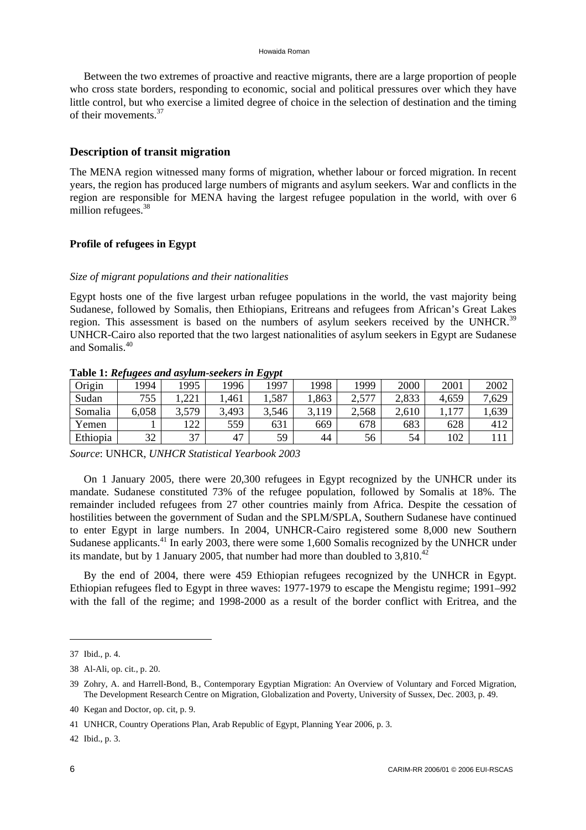Between the two extremes of proactive and reactive migrants, there are a large proportion of people who cross state borders, responding to economic, social and political pressures over which they have little control, but who exercise a limited degree of choice in the selection of destination and the timing of their movements.<sup>37</sup>

# **Description of transit migration**

The MENA region witnessed many forms of migration, whether labour or forced migration. In recent years, the region has produced large numbers of migrants and asylum seekers. War and conflicts in the region are responsible for MENA having the largest refugee population in the world, with over 6 million refugees.<sup>38</sup>

# **Profile of refugees in Egypt**

### *Size of migrant populations and their nationalities*

Egypt hosts one of the five largest urban refugee populations in the world, the vast majority being Sudanese, followed by Somalis, then Ethiopians, Eritreans and refugees from African's Great Lakes region. This assessment is based on the numbers of asylum seekers received by the UNHCR.<sup>39</sup> UNHCR-Cairo also reported that the two largest nationalities of asylum seekers in Egypt are Sudanese and Somalis.<sup>40</sup>

| <b>Lable 1. Refugees and asylum-seekers in Egypt</b> |       |       |       |       |       |       |       |       |       |
|------------------------------------------------------|-------|-------|-------|-------|-------|-------|-------|-------|-------|
| Origin                                               | 1994  | 1995  | 1996  | 1997  | 1998  | 1999  | 2000  | 2001  | 2002  |
| Sudan                                                | 755   | .221  | .461  | .,587 | ,863  | 2,577 | 2,833 | 4,659 | 7,629 |
| Somalia                                              | 6,058 | 3,579 | 3,493 | 3,546 | 3,119 | 2,568 | 2,610 | 77    | .639  |
| Yemen                                                |       | 122   | 559   | 631   | 669   | 678   | 683   | 628   | 412   |
| Ethiopia                                             | 32    | 37    | 47    | 59    | 44    | 56    | 54    | 102   |       |

**Table 1:** *Refugees and asylum-seekers in Egypt* 

*Source*: UNHCR, *UNHCR Statistical Yearbook 2003*

On 1 January 2005, there were 20,300 refugees in Egypt recognized by the UNHCR under its mandate. Sudanese constituted 73% of the refugee population, followed by Somalis at 18%. The remainder included refugees from 27 other countries mainly from Africa. Despite the cessation of hostilities between the government of Sudan and the SPLM/SPLA, Southern Sudanese have continued to enter Egypt in large numbers. In 2004, UNHCR-Cairo registered some 8,000 new Southern Sudanese applicants.<sup>41</sup> In early 2003, there were some 1,600 Somalis recognized by the UNHCR under its mandate, but by 1 January 2005, that number had more than doubled to  $3,810^{42}$ 

By the end of 2004, there were 459 Ethiopian refugees recognized by the UNHCR in Egypt. Ethiopian refugees fled to Egypt in three waves: 1977-1979 to escape the Mengistu regime; 1991–992 with the fall of the regime; and 1998-2000 as a result of the border conflict with Eritrea, and the

 $\overline{\phantom{a}}$ 

<sup>37</sup> Ibid., p. 4.

<sup>38</sup> Al-Ali, op. cit., p. 20.

<sup>39</sup> Zohry, A. and Harrell-Bond, B., Contemporary Egyptian Migration: An Overview of Voluntary and Forced Migration, The Development Research Centre on Migration, Globalization and Poverty, University of Sussex, Dec. 2003, p. 49.

<sup>40</sup> Kegan and Doctor, op. cit, p. 9.

<sup>41</sup> UNHCR, Country Operations Plan, Arab Republic of Egypt, Planning Year 2006, p. 3.

<sup>42</sup> Ibid., p. 3.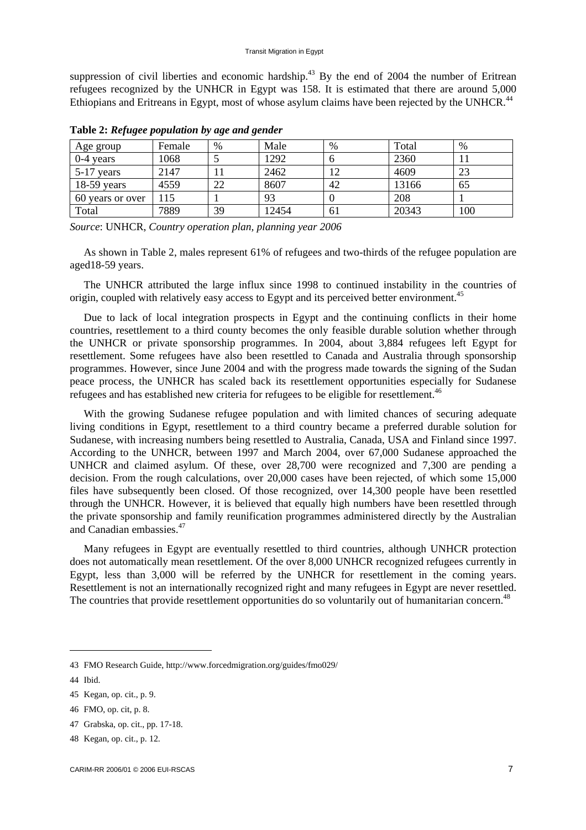suppression of civil liberties and economic hardship.<sup>43</sup> By the end of  $2004$  the number of Eritrean refugees recognized by the UNHCR in Egypt was 158. It is estimated that there are around 5,000 Ethiopians and Eritreans in Egypt, most of whose asylum claims have been rejected by the UNHCR.<sup>44</sup>

| Age group        | Female | $\%$ | Male  | %  | Total | $\%$ |
|------------------|--------|------|-------|----|-------|------|
| $0-4$ years      | 1068   |      | 1292  | O  | 2360  |      |
| $5-17$ years     | 2147   |      | 2462  |    | 4609  | 23   |
| $18-59$ years    | 4559   | 22   | 8607  | 42 | 13166 | 65   |
| 60 years or over | 15     |      | 93    | U  | 208   |      |
| Total            | 7889   | 39   | 12454 | 61 | 20343 | 100  |

**Table 2:** *Refugee population by age and gender*

*Source*: UNHCR, *Country operation plan, planning year 2006*

As shown in Table 2, males represent 61% of refugees and two-thirds of the refugee population are aged18-59 years.

The UNHCR attributed the large influx since 1998 to continued instability in the countries of origin, coupled with relatively easy access to Egypt and its perceived better environment.<sup>45</sup>

Due to lack of local integration prospects in Egypt and the continuing conflicts in their home countries, resettlement to a third county becomes the only feasible durable solution whether through the UNHCR or private sponsorship programmes. In 2004, about 3,884 refugees left Egypt for resettlement. Some refugees have also been resettled to Canada and Australia through sponsorship programmes. However, since June 2004 and with the progress made towards the signing of the Sudan peace process, the UNHCR has scaled back its resettlement opportunities especially for Sudanese refugees and has established new criteria for refugees to be eligible for resettlement.<sup>46</sup>

With the growing Sudanese refugee population and with limited chances of securing adequate living conditions in Egypt, resettlement to a third country became a preferred durable solution for Sudanese, with increasing numbers being resettled to Australia, Canada, USA and Finland since 1997. According to the UNHCR, between 1997 and March 2004, over 67,000 Sudanese approached the UNHCR and claimed asylum. Of these, over 28,700 were recognized and 7,300 are pending a decision. From the rough calculations, over 20,000 cases have been rejected, of which some 15,000 files have subsequently been closed. Of those recognized, over 14,300 people have been resettled through the UNHCR. However, it is believed that equally high numbers have been resettled through the private sponsorship and family reunification programmes administered directly by the Australian and Canadian embassies.<sup>47</sup>

Many refugees in Egypt are eventually resettled to third countries, although UNHCR protection does not automatically mean resettlement. Of the over 8,000 UNHCR recognized refugees currently in Egypt, less than 3,000 will be referred by the UNHCR for resettlement in the coming years. Resettlement is not an internationally recognized right and many refugees in Egypt are never resettled. The countries that provide resettlement opportunities do so voluntarily out of humanitarian concern.<sup>48</sup>

<sup>43</sup> FMO Research Guide, <http://www.forcedmigration.org/guides/fmo029/>

<sup>44</sup> Ibid.

<sup>45</sup> Kegan, op. cit., p. 9.

<sup>46</sup> FMO, op. cit, p. 8.

<sup>47</sup> Grabska, op. cit., pp. 17-18.

<sup>48</sup> Kegan, op. cit., p. 12.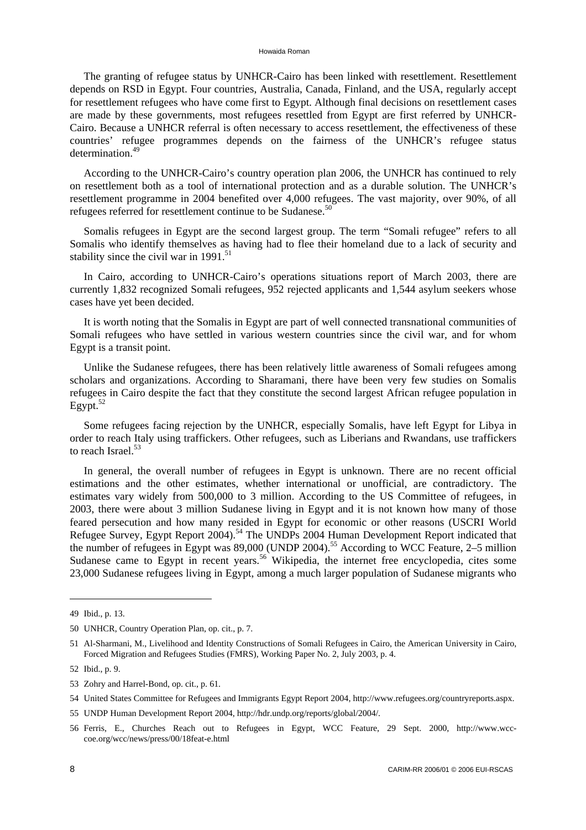The granting of refugee status by UNHCR-Cairo has been linked with resettlement. Resettlement depends on RSD in Egypt. Four countries, Australia, Canada, Finland, and the USA, regularly accept for resettlement refugees who have come first to Egypt. Although final decisions on resettlement cases are made by these governments, most refugees resettled from Egypt are first referred by UNHCR-Cairo. Because a UNHCR referral is often necessary to access resettlement, the effectiveness of these countries' refugee programmes depends on the fairness of the UNHCR's refugee status determination.<sup>49</sup>

According to the UNHCR-Cairo's country operation plan 2006, the UNHCR has continued to rely on resettlement both as a tool of international protection and as a durable solution. The UNHCR's resettlement programme in 2004 benefited over 4,000 refugees. The vast majority, over 90%, of all refugees referred for resettlement continue to be Sudanese.<sup>50</sup>

Somalis refugees in Egypt are the second largest group. The term "Somali refugee" refers to all Somalis who identify themselves as having had to flee their homeland due to a lack of security and stability since the civil war in  $1991$ <sup>51</sup>

In Cairo, according to UNHCR-Cairo's operations situations report of March 2003, there are currently 1,832 recognized Somali refugees, 952 rejected applicants and 1,544 asylum seekers whose cases have yet been decided.

It is worth noting that the Somalis in Egypt are part of well connected transnational communities of Somali refugees who have settled in various western countries since the civil war, and for whom Egypt is a transit point.

Unlike the Sudanese refugees, there has been relatively little awareness of Somali refugees among scholars and organizations. According to Sharamani, there have been very few studies on Somalis refugees in Cairo despite the fact that they constitute the second largest African refugee population in  $E$ gypt. $52$ 

Some refugees facing rejection by the UNHCR, especially Somalis, have left Egypt for Libya in order to reach Italy using traffickers. Other refugees, such as Liberians and Rwandans, use traffickers to reach Israel.<sup>53</sup>

In general, the overall number of refugees in Egypt is unknown. There are no recent official estimations and the other estimates, whether international or unofficial, are contradictory. The estimates vary widely from 500,000 to 3 million. According to the US Committee of refugees, in 2003, there were about 3 million Sudanese living in Egypt and it is not known how many of those feared persecution and how many resided in Egypt for economic or other reasons (USCRI World Refugee Survey, Egypt Report 2004).<sup>54</sup> The UNDPs 2004 Human Development Report indicated that the number of refugees in Egypt was  $89,000$  (UNDP 2004).<sup>55</sup> According to WCC Feature, 2–5 million Sudanese came to Egypt in recent years.<sup>56</sup> Wikipedia, the internet free encyclopedia, cites some 23,000 Sudanese refugees living in Egypt, among a much larger population of Sudanese migrants who

<sup>49</sup> Ibid., p. 13.

<sup>50</sup> UNHCR, Country Operation Plan, op. cit., p. 7.

<sup>51</sup> Al-Sharmani, M., Livelihood and Identity Constructions of Somali Refugees in Cairo, the American University in Cairo, Forced Migration and Refugees Studies (FMRS), Working Paper No. 2, July 2003, p. 4.

<sup>52</sup> Ibid., p. 9.

<sup>53</sup> Zohry and Harrel-Bond, op. cit., p. 61.

<sup>54</sup> United States Committee for Refugees and Immigrants Egypt Report 2004, [http://www.refugees.org/countryreports.aspx.](http://www.refugees.org/countryreports.aspx)

<sup>55</sup> UNDP Human Development Report 2004, [http://hdr.undp.org/reports/global/2004/.](http://hdr.undp.org/reports/global/2004/)

<sup>56</sup> [Ferris, E., Churches Reach out to Refugees in Egypt, WCC Feature, 29 Sept. 2000, http://www.wcc](http://www.wcc-coe)coe.org/wcc/news/press/00/18feat-e.html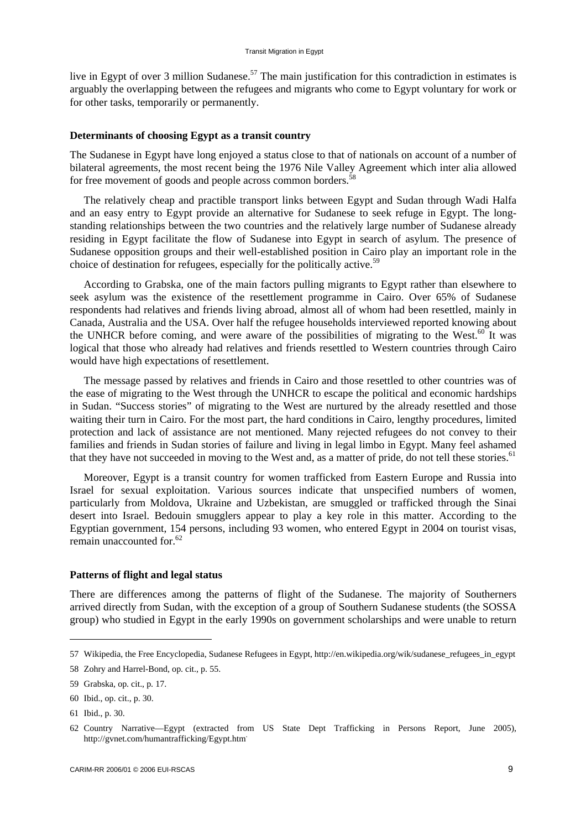live in Egypt of over 3 million Sudanese.<sup>57</sup> The main justification for this contradiction in estimates is arguably the overlapping between the refugees and migrants who come to Egypt voluntary for work or for other tasks, temporarily or permanently.

#### **Determinants of choosing Egypt as a transit country**

The Sudanese in Egypt have long enjoyed a status close to that of nationals on account of a number of bilateral agreements, the most recent being the 1976 Nile Valley Agreement which inter alia allowed for free movement of goods and people across common borders.<sup>58</sup>

The relatively cheap and practible transport links between Egypt and Sudan through Wadi Halfa and an easy entry to Egypt provide an alternative for Sudanese to seek refuge in Egypt. The longstanding relationships between the two countries and the relatively large number of Sudanese already residing in Egypt facilitate the flow of Sudanese into Egypt in search of asylum. The presence of Sudanese opposition groups and their well-established position in Cairo play an important role in the choice of destination for refugees, especially for the politically active.<sup>59</sup>

According to Grabska, one of the main factors pulling migrants to Egypt rather than elsewhere to seek asylum was the existence of the resettlement programme in Cairo. Over 65% of Sudanese respondents had relatives and friends living abroad, almost all of whom had been resettled, mainly in Canada, Australia and the USA. Over half the refugee households interviewed reported knowing about the UNHCR before coming, and were aware of the possibilities of migrating to the West.<sup>60</sup> It was logical that those who already had relatives and friends resettled to Western countries through Cairo would have high expectations of resettlement.

The message passed by relatives and friends in Cairo and those resettled to other countries was of the ease of migrating to the West through the UNHCR to escape the political and economic hardships in Sudan. "Success stories" of migrating to the West are nurtured by the already resettled and those waiting their turn in Cairo. For the most part, the hard conditions in Cairo, lengthy procedures, limited protection and lack of assistance are not mentioned. Many rejected refugees do not convey to their families and friends in Sudan stories of failure and living in legal limbo in Egypt. Many feel ashamed that they have not succeeded in moving to the West and, as a matter of pride, do not tell these stories.<sup>61</sup>

Moreover, Egypt is a transit country for women trafficked from Eastern Europe and Russia into Israel for sexual exploitation. Various sources indicate that unspecified numbers of women, particularly from Moldova, Ukraine and Uzbekistan, are smuggled or trafficked through the Sinai desert into Israel. Bedouin smugglers appear to play a key role in this matter. According to the Egyptian government, 154 persons, including 93 women, who entered Egypt in 2004 on tourist visas, remain unaccounted for.62

### **Patterns of flight and legal status**

There are differences among the patterns of flight of the Sudanese. The majority of Southerners arrived directly from Sudan, with the exception of a group of Southern Sudanese students (the SOSSA group) who studied in Egypt in the early 1990s on government scholarships and were unable to return

 $\overline{\phantom{a}}$ 

<sup>57</sup> Wikipedia, the Free Encyclopedia, Sudanese Refugees in Egypt, [http://en.wikipedia.org/wik/sudanese\\_refugees\\_in\\_egypt](http://en.wikipedia.org/wik/sudanese_refugees_in_egypt)

<sup>58</sup> Zohry and Harrel-Bond, op. cit., p. 55.

<sup>59</sup> Grabska, op. cit., p. 17.

<sup>60</sup> Ibid., op. cit., p. 30.

<sup>61</sup> Ibid., p. 30.

<sup>62</sup> Country Narrative—Egypt (extracted from US State Dept Trafficking in Persons Report, June 2005), [http://gvnet.com/humantrafficking/Egypt.htm.](http://gvnet.com/humantrafficking/Egypt.htm)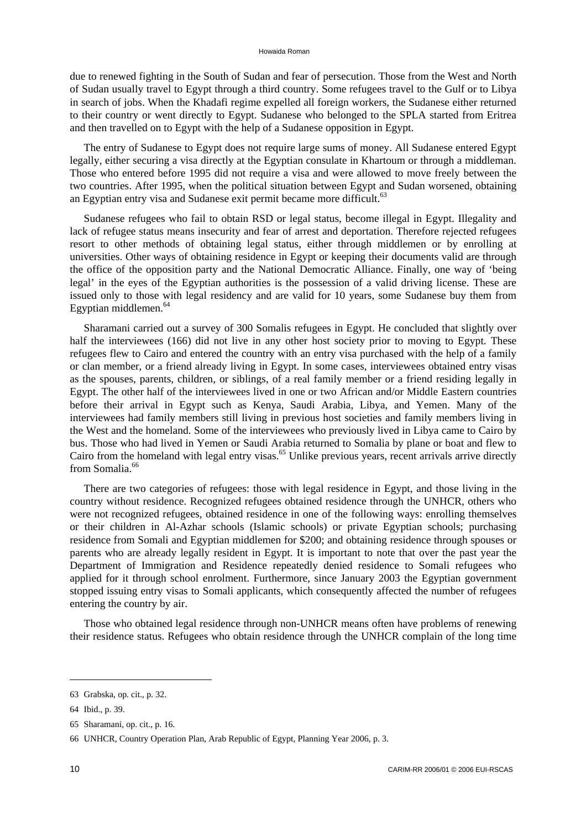due to renewed fighting in the South of Sudan and fear of persecution. Those from the West and North of Sudan usually travel to Egypt through a third country. Some refugees travel to the Gulf or to Libya in search of jobs. When the Khadafi regime expelled all foreign workers, the Sudanese either returned to their country or went directly to Egypt. Sudanese who belonged to the SPLA started from Eritrea and then travelled on to Egypt with the help of a Sudanese opposition in Egypt.

The entry of Sudanese to Egypt does not require large sums of money. All Sudanese entered Egypt legally, either securing a visa directly at the Egyptian consulate in Khartoum or through a middleman. Those who entered before 1995 did not require a visa and were allowed to move freely between the two countries. After 1995, when the political situation between Egypt and Sudan worsened, obtaining an Egyptian entry visa and Sudanese exit permit became more difficult.<sup>63</sup>

Sudanese refugees who fail to obtain RSD or legal status, become illegal in Egypt. Illegality and lack of refugee status means insecurity and fear of arrest and deportation. Therefore rejected refugees resort to other methods of obtaining legal status, either through middlemen or by enrolling at universities. Other ways of obtaining residence in Egypt or keeping their documents valid are through the office of the opposition party and the National Democratic Alliance. Finally, one way of 'being legal' in the eyes of the Egyptian authorities is the possession of a valid driving license. These are issued only to those with legal residency and are valid for 10 years, some Sudanese buy them from Egyptian middlemen.<sup>64</sup>

Sharamani carried out a survey of 300 Somalis refugees in Egypt. He concluded that slightly over half the interviewees (166) did not live in any other host society prior to moving to Egypt. These refugees flew to Cairo and entered the country with an entry visa purchased with the help of a family or clan member, or a friend already living in Egypt. In some cases, interviewees obtained entry visas as the spouses, parents, children, or siblings, of a real family member or a friend residing legally in Egypt. The other half of the interviewees lived in one or two African and/or Middle Eastern countries before their arrival in Egypt such as Kenya, Saudi Arabia, Libya, and Yemen. Many of the interviewees had family members still living in previous host societies and family members living in the West and the homeland. Some of the interviewees who previously lived in Libya came to Cairo by bus. Those who had lived in Yemen or Saudi Arabia returned to Somalia by plane or boat and flew to Cairo from the homeland with legal entry visas.<sup>65</sup> Unlike previous years, recent arrivals arrive directly from Somalia.<sup>66</sup>

There are two categories of refugees: those with legal residence in Egypt, and those living in the country without residence. Recognized refugees obtained residence through the UNHCR, others who were not recognized refugees, obtained residence in one of the following ways: enrolling themselves or their children in Al-Azhar schools (Islamic schools) or private Egyptian schools; purchasing residence from Somali and Egyptian middlemen for \$200; and obtaining residence through spouses or parents who are already legally resident in Egypt. It is important to note that over the past year the Department of Immigration and Residence repeatedly denied residence to Somali refugees who applied for it through school enrolment. Furthermore, since January 2003 the Egyptian government stopped issuing entry visas to Somali applicants, which consequently affected the number of refugees entering the country by air.

Those who obtained legal residence through non-UNHCR means often have problems of renewing their residence status. Refugees who obtain residence through the UNHCR complain of the long time

<sup>63</sup> Grabska, op. cit., p. 32.

<sup>64</sup> Ibid., p. 39.

<sup>65</sup> Sharamani, op. cit., p. 16.

<sup>66</sup> UNHCR, Country Operation Plan, Arab Republic of Egypt, Planning Year 2006, p. 3.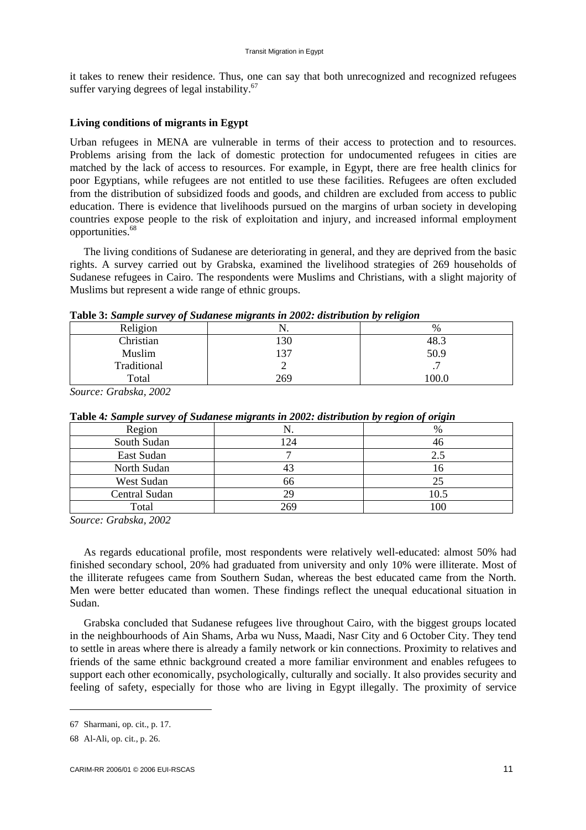it takes to renew their residence. Thus, one can say that both unrecognized and recognized refugees suffer varying degrees of legal instability. $67$ 

### **Living conditions of migrants in Egypt**

Urban refugees in MENA are vulnerable in terms of their access to protection and to resources. Problems arising from the lack of domestic protection for undocumented refugees in cities are matched by the lack of access to resources. For example, in Egypt, there are free health clinics for poor Egyptians, while refugees are not entitled to use these facilities. Refugees are often excluded from the distribution of subsidized foods and goods, and children are excluded from access to public education. There is evidence that livelihoods pursued on the margins of urban society in developing countries expose people to the risk of exploitation and injury, and increased informal employment opportunities.68

The living conditions of Sudanese are deteriorating in general, and they are deprived from the basic rights. A survey carried out by Grabska, examined the livelihood strategies of 269 households of Sudanese refugees in Cairo. The respondents were Muslims and Christians, with a slight majority of Muslims but represent a wide range of ethnic groups.

| Religion    | .   | $\%$ |
|-------------|-----|------|
| Christian   | 130 | 48.3 |
| Muslim      | 137 | 50.9 |
| Traditional | -   | . .  |
| Total       | 269 | 00.0 |

**Table 3:** *Sample survey of Sudanese migrants in 2002: distribution by religion* 

*Source: Grabska, 2002* 

| ு<br>ື່       |     |      |  |  |
|---------------|-----|------|--|--|
| Region        |     | %    |  |  |
| South Sudan   | 124 | 46   |  |  |
| East Sudan    |     | 2.5  |  |  |
| North Sudan   |     | LО   |  |  |
| West Sudan    | 66  |      |  |  |
| Central Sudan |     | 10.5 |  |  |
| Total         | 269 | 100  |  |  |

**Table 4***: Sample survey of Sudanese migrants in 2002: distribution by region of origin* 

*Source: Grabska, 2002* 

As regards educational profile, most respondents were relatively well-educated: almost 50% had finished secondary school, 20% had graduated from university and only 10% were illiterate. Most of the illiterate refugees came from Southern Sudan, whereas the best educated came from the North. Men were better educated than women. These findings reflect the unequal educational situation in Sudan.

Grabska concluded that Sudanese refugees live throughout Cairo, with the biggest groups located in the neighbourhoods of Ain Shams, Arba wu Nuss, Maadi, Nasr City and 6 October City. They tend to settle in areas where there is already a family network or kin connections. Proximity to relatives and friends of the same ethnic background created a more familiar environment and enables refugees to support each other economically, psychologically, culturally and socially. It also provides security and feeling of safety, especially for those who are living in Egypt illegally. The proximity of service

<sup>67</sup> Sharmani, op. cit., p. 17.

<sup>68</sup> Al-Ali, op. cit., p. 26.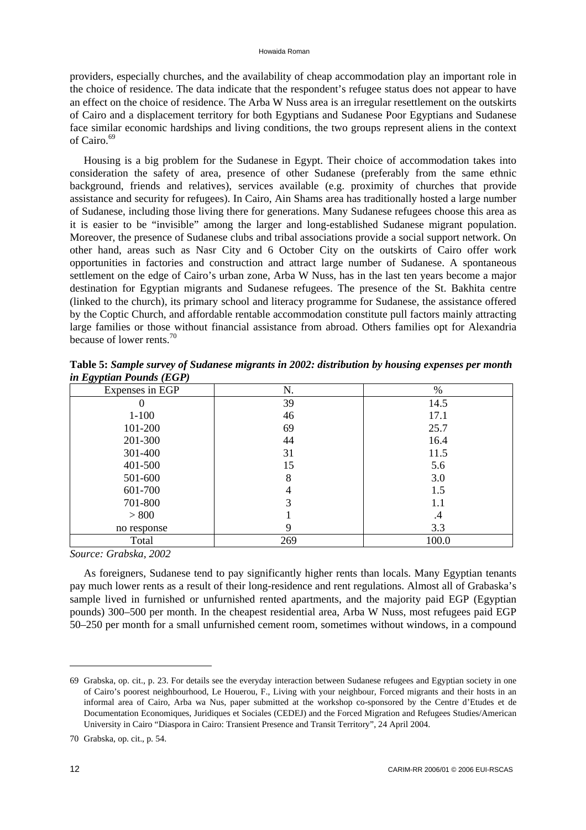providers, especially churches, and the availability of cheap accommodation play an important role in the choice of residence. The data indicate that the respondent's refugee status does not appear to have an effect on the choice of residence. The Arba W Nuss area is an irregular resettlement on the outskirts of Cairo and a displacement territory for both Egyptians and Sudanese Poor Egyptians and Sudanese face similar economic hardships and living conditions, the two groups represent aliens in the context of Cairo.<sup>69</sup>

Housing is a big problem for the Sudanese in Egypt. Their choice of accommodation takes into consideration the safety of area, presence of other Sudanese (preferably from the same ethnic background, friends and relatives), services available (e.g. proximity of churches that provide assistance and security for refugees). In Cairo, Ain Shams area has traditionally hosted a large number of Sudanese, including those living there for generations. Many Sudanese refugees choose this area as it is easier to be "invisible" among the larger and long-established Sudanese migrant population. Moreover, the presence of Sudanese clubs and tribal associations provide a social support network. On other hand, areas such as Nasr City and 6 October City on the outskirts of Cairo offer work opportunities in factories and construction and attract large number of Sudanese. A spontaneous settlement on the edge of Cairo's urban zone, Arba W Nuss, has in the last ten years become a major destination for Egyptian migrants and Sudanese refugees. The presence of the St. Bakhita centre (linked to the church), its primary school and literacy programme for Sudanese, the assistance offered by the Coptic Church, and affordable rentable accommodation constitute pull factors mainly attracting large families or those without financial assistance from abroad. Others families opt for Alexandria because of lower rents.70

| ovr<br>$\sim$ $\sim$ $\sim$ $\sim$ $\sim$ $\sim$<br>Expenses in EGP | N.  | $\%$  |
|---------------------------------------------------------------------|-----|-------|
| 0                                                                   | 39  | 14.5  |
| $1 - 100$                                                           | 46  | 17.1  |
| 101-200                                                             | 69  | 25.7  |
| 201-300                                                             | 44  | 16.4  |
| 301-400                                                             | 31  | 11.5  |
| 401-500                                                             | 15  | 5.6   |
| 501-600                                                             | 8   | 3.0   |
| 601-700                                                             |     | 1.5   |
| 701-800                                                             |     | 1.1   |
| > 800                                                               |     | .4    |
| no response                                                         |     | 3.3   |
| Total                                                               | 269 | 100.0 |

**Table 5:** *Sample survey of Sudanese migrants in 2002: distribution by housing expenses per month in Egyptian Pounds (EGP)* 

*Source: Grabska, 2002* 

As foreigners, Sudanese tend to pay significantly higher rents than locals. Many Egyptian tenants pay much lower rents as a result of their long-residence and rent regulations. Almost all of Grabaska's sample lived in furnished or unfurnished rented apartments, and the majority paid EGP (Egyptian pounds) 300–500 per month. In the cheapest residential area, Arba W Nuss, most refugees paid EGP 50–250 per month for a small unfurnished cement room, sometimes without windows, in a compound

 $\overline{\phantom{a}}$ 

<sup>69</sup> Grabska, op. cit., p. 23. For details see the everyday interaction between Sudanese refugees and Egyptian society in one of Cairo's poorest neighbourhood, Le Houerou, F., Living with your neighbour, Forced migrants and their hosts in an informal area of Cairo, Arba wa Nus, paper submitted at the workshop co-sponsored by the Centre d'Etudes et de Documentation Economiques, Juridiques et Sociales (CEDEJ) and the Forced Migration and Refugees Studies/American University in Cairo "Diaspora in Cairo: Transient Presence and Transit Territory", 24 April 2004.

<sup>70</sup> Grabska, op. cit., p. 54.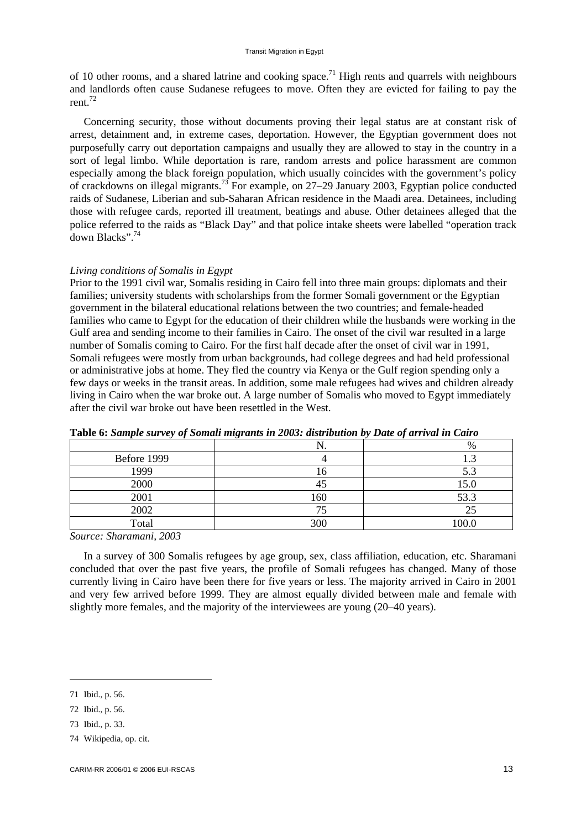of 10 other rooms, and a shared latrine and cooking space.<sup>71</sup> High rents and quarrels with neighbours and landlords often cause Sudanese refugees to move. Often they are evicted for failing to pay the rent.<sup>72</sup>

Concerning security, those without documents proving their legal status are at constant risk of arrest, detainment and, in extreme cases, deportation. However, the Egyptian government does not purposefully carry out deportation campaigns and usually they are allowed to stay in the country in a sort of legal limbo. While deportation is rare, random arrests and police harassment are common especially among the black foreign population, which usually coincides with the government's policy of crackdowns on illegal migrants.73 For example, on 27–29 January 2003, Egyptian police conducted raids of Sudanese, Liberian and sub-Saharan African residence in the Maadi area. Detainees, including those with refugee cards, reported ill treatment, beatings and abuse. Other detainees alleged that the police referred to the raids as "Black Day" and that police intake sheets were labelled "operation track down Blacks".<sup>74</sup>

#### *Living conditions of Somalis in Egypt*

Prior to the 1991 civil war, Somalis residing in Cairo fell into three main groups: diplomats and their families; university students with scholarships from the former Somali government or the Egyptian government in the bilateral educational relations between the two countries; and female-headed families who came to Egypt for the education of their children while the husbands were working in the Gulf area and sending income to their families in Cairo. The onset of the civil war resulted in a large number of Somalis coming to Cairo. For the first half decade after the onset of civil war in 1991, Somali refugees were mostly from urban backgrounds, had college degrees and had held professional or administrative jobs at home. They fled the country via Kenya or the Gulf region spending only a few days or weeks in the transit areas. In addition, some male refugees had wives and children already living in Cairo when the war broke out. A large number of Somalis who moved to Egypt immediately after the civil war broke out have been resettled in the West.

|             | $\sim$<br>IN. | %     |
|-------------|---------------|-------|
| Before 1999 |               |       |
| 1999        |               | ر.ر   |
| 2000        | 41            | 15.0  |
| 2001        | 160           | 53.3  |
| 2002        |               | 23    |
| Total       | 300           | 100.0 |

**Table 6:** *Sample survey of Somali migrants in 2003: distribution by Date of arrival in Cairo*

*Source: Sharamani, 2003* 

In a survey of 300 Somalis refugees by age group, sex, class affiliation, education, etc. Sharamani concluded that over the past five years, the profile of Somali refugees has changed. Many of those currently living in Cairo have been there for five years or less. The majority arrived in Cairo in 2001 and very few arrived before 1999. They are almost equally divided between male and female with slightly more females, and the majority of the interviewees are young (20–40 years).

<sup>71</sup> Ibid., p. 56.

<sup>72</sup> Ibid., p. 56.

<sup>73</sup> Ibid., p. 33.

<sup>74</sup> Wikipedia, op. cit.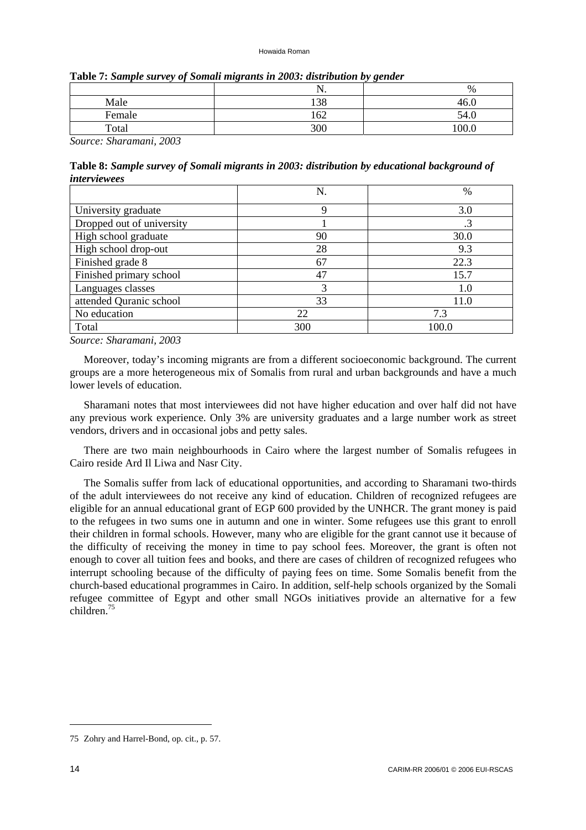| Table 7: Sample survey of Somali migrants in 2003: distribution by gender |  |
|---------------------------------------------------------------------------|--|
|---------------------------------------------------------------------------|--|

|        | 11. | %     |
|--------|-----|-------|
| Male   | 138 | 46.0  |
| Female | 162 | 54.0  |
| Total  | 300 | 100.0 |

*Source: Sharamani, 2003* 

**Table 8:** *Sample survey of Somali migrants in 2003: distribution by educational background of interviewees*

|                           | N.  | $\%$  |
|---------------------------|-----|-------|
| University graduate       | Q   | 3.0   |
| Dropped out of university |     |       |
| High school graduate      | 90  | 30.0  |
| High school drop-out      | 28  | 9.3   |
| Finished grade 8          | 67  | 22.3  |
| Finished primary school   | 47  | 15.7  |
| Languages classes         | 3   | 1.0   |
| attended Quranic school   | 33  | 11.0  |
| No education              | 22  | 7.3   |
| Total                     | 300 | 100.0 |

*Source: Sharamani, 2003* 

Moreover, today's incoming migrants are from a different socioeconomic background. The current groups are a more heterogeneous mix of Somalis from rural and urban backgrounds and have a much lower levels of education.

Sharamani notes that most interviewees did not have higher education and over half did not have any previous work experience. Only 3% are university graduates and a large number work as street vendors, drivers and in occasional jobs and petty sales.

There are two main neighbourhoods in Cairo where the largest number of Somalis refugees in Cairo reside Ard Il Liwa and Nasr City.

The Somalis suffer from lack of educational opportunities, and according to Sharamani two-thirds of the adult interviewees do not receive any kind of education. Children of recognized refugees are eligible for an annual educational grant of EGP 600 provided by the UNHCR. The grant money is paid to the refugees in two sums one in autumn and one in winter. Some refugees use this grant to enroll their children in formal schools. However, many who are eligible for the grant cannot use it because of the difficulty of receiving the money in time to pay school fees. Moreover, the grant is often not enough to cover all tuition fees and books, and there are cases of children of recognized refugees who interrupt schooling because of the difficulty of paying fees on time. Some Somalis benefit from the church-based educational programmes in Cairo. In addition, self-help schools organized by the Somali refugee committee of Egypt and other small NGOs initiatives provide an alternative for a few children. $75$ 

<sup>75</sup> Zohry and Harrel-Bond, op. cit., p. 57.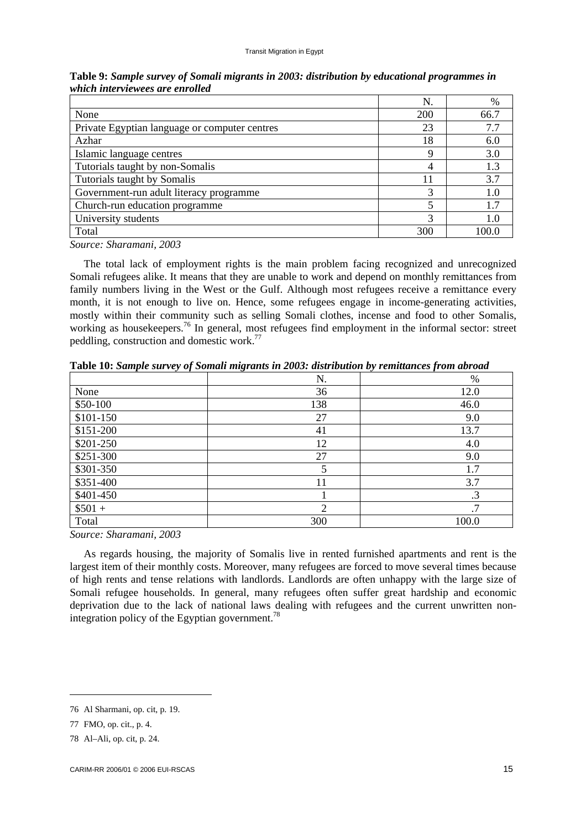|                                               | N.  | $\%$ |
|-----------------------------------------------|-----|------|
| None                                          | 200 | 66.7 |
| Private Egyptian language or computer centres | 23  | 7.7  |
| Azhar                                         | 18  | 6(   |
| Islamic language centres                      | Q   | 3.0  |
| Tutorials taught by non-Somalis               | 4   | 1.3  |
| Tutorials taught by Somalis                   | 11  | 37   |
| Government-run adult literacy programme       | 3   | 1.0  |
| Church-run education programme                |     | 1.7  |
| University students                           | 3   |      |
| Total                                         | 300 | 100. |

**Table 9:** *Sample survey of Somali migrants in 2003: distribution by* **e***ducational programmes in which interviewees are enrolled*

*Source: Sharamani, 2003* 

The total lack of employment rights is the main problem facing recognized and unrecognized Somali refugees alike. It means that they are unable to work and depend on monthly remittances from family numbers living in the West or the Gulf. Although most refugees receive a remittance every month, it is not enough to live on. Hence, some refugees engage in income-generating activities, mostly within their community such as selling Somali clothes, incense and food to other Somalis, working as housekeepers.<sup>76</sup> In general, most refugees find employment in the informal sector: street peddling, construction and domestic work.77

|           | N.  | $\%$  |
|-----------|-----|-------|
| None      | 36  | 12.0  |
| \$50-100  | 138 | 46.0  |
| \$101-150 | 27  | 9.0   |
| \$151-200 | 41  | 13.7  |
| \$201-250 | 12  | 4.0   |
| \$251-300 | 27  | 9.0   |
| \$301-350 | 5   | 1.7   |
| \$351-400 | 11  | 3.7   |
| \$401-450 |     | .3    |
| $$501 +$  | 2   | .7    |
| Total     | 300 | 100.0 |

**Table 10:** *Sample survey of Somali migrants in 2003: distribution by remittances from abroad*

*Source: Sharamani, 2003* 

As regards housing, the majority of Somalis live in rented furnished apartments and rent is the largest item of their monthly costs. Moreover, many refugees are forced to move several times because of high rents and tense relations with landlords. Landlords are often unhappy with the large size of Somali refugee households. In general, many refugees often suffer great hardship and economic deprivation due to the lack of national laws dealing with refugees and the current unwritten nonintegration policy of the Egyptian government.<sup>78</sup>

<sup>76</sup> Al Sharmani, op. cit, p. 19.

<sup>77</sup> FMO, op. cit., p. 4.

<sup>78</sup> Al–Ali, op. cit, p. 24.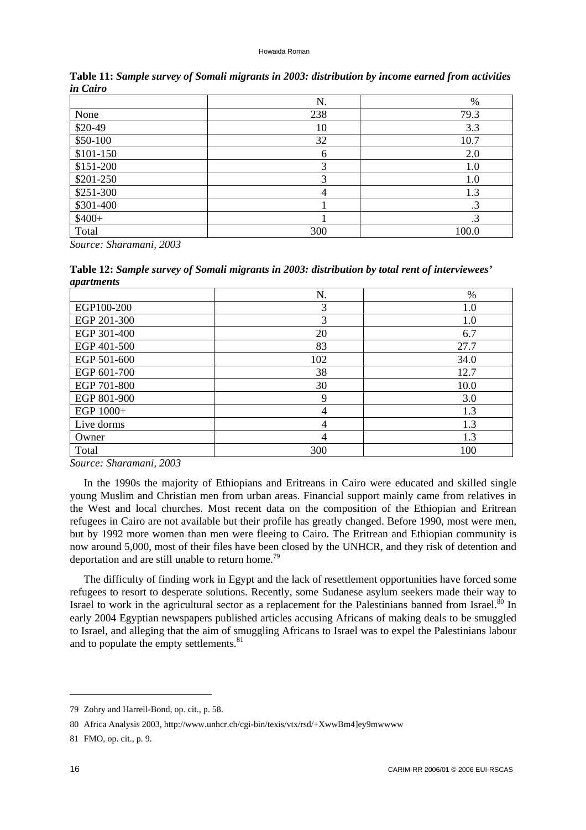|           | N.  | $\%$      |
|-----------|-----|-----------|
| None      | 238 | 79.3      |
| $$20-49$  | 10  | 3.3       |
| \$50-100  | 32  | 10.7      |
| \$101-150 | 6   | 2.0       |
| \$151-200 | 3   | 1.0       |
| \$201-250 | 3   | 1.0       |
| \$251-300 |     | 1.3       |
| \$301-400 |     | $\cdot$ 3 |
| $$400+$   |     | $\cdot$ 3 |
| Total     | 300 | 100.0     |

**Table 11:** *Sample survey of Somali migrants in 2003: distribution by income earned from activities in Cairo*

*Source: Sharamani, 2003* 

**Table 12:** *Sample survey of Somali migrants in 2003: distribution by total rent of interviewees' apartments*

|             | N.             | $\%$    |
|-------------|----------------|---------|
| EGP100-200  | 3              | $1.0\,$ |
| EGP 201-300 | 3              | 1.0     |
| EGP 301-400 | 20             | 6.7     |
| EGP 401-500 | 83             | 27.7    |
| EGP 501-600 | 102            | 34.0    |
| EGP 601-700 | 38             | 12.7    |
| EGP 701-800 | 30             | 10.0    |
| EGP 801-900 | 9              | 3.0     |
| EGP 1000+   | 4              | 1.3     |
| Live dorms  | $\overline{4}$ | 1.3     |
| Owner       |                | 1.3     |
| Total       | 300            | 100     |

*Source: Sharamani, 2003* 

In the 1990s the majority of Ethiopians and Eritreans in Cairo were educated and skilled single young Muslim and Christian men from urban areas. Financial support mainly came from relatives in the West and local churches. Most recent data on the composition of the Ethiopian and Eritrean refugees in Cairo are not available but their profile has greatly changed. Before 1990, most were men, but by 1992 more women than men were fleeing to Cairo. The Eritrean and Ethiopian community is now around 5,000, most of their files have been closed by the UNHCR, and they risk of detention and deportation and are still unable to return home.<sup>79</sup>

The difficulty of finding work in Egypt and the lack of resettlement opportunities have forced some refugees to resort to desperate solutions. Recently, some Sudanese asylum seekers made their way to Israel to work in the agricultural sector as a replacement for the Palestinians banned from Israel.<sup>80</sup> In early 2004 Egyptian newspapers published articles accusing Africans of making deals to be smuggled to Israel, and alleging that the aim of smuggling Africans to Israel was to expel the Palestinians labour and to populate the empty settlements. $81$ 

<sup>79</sup> Zohry and Harrell-Bond, op. cit., p. 58.

<sup>80</sup> Africa Analysis 2003, [http://www.unhcr.ch/cgi-bin/texis/vtx/rsd/+XwwBm4\]ey9mwwww](http://www.unhcr.ch/cgi-bin/texis/vtx/rsd/+XwwBm4]ey9mwwww) 

<sup>81</sup> FMO, op. cit., p. 9.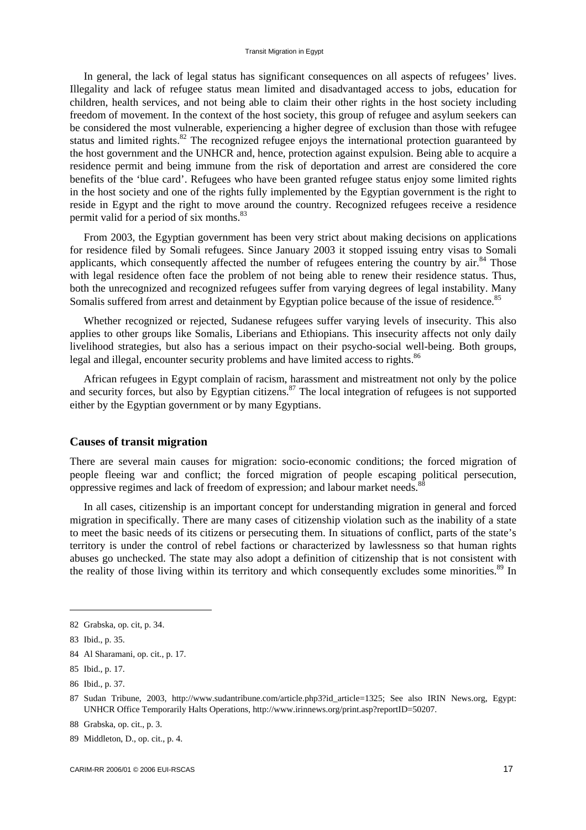#### Transit Migration in Egypt

In general, the lack of legal status has significant consequences on all aspects of refugees' lives. Illegality and lack of refugee status mean limited and disadvantaged access to jobs, education for children, health services, and not being able to claim their other rights in the host society including freedom of movement. In the context of the host society, this group of refugee and asylum seekers can be considered the most vulnerable, experiencing a higher degree of exclusion than those with refugee status and limited rights.<sup>82</sup> The recognized refugee enjoys the international protection guaranteed by the host government and the UNHCR and, hence, protection against expulsion. Being able to acquire a residence permit and being immune from the risk of deportation and arrest are considered the core benefits of the 'blue card'. Refugees who have been granted refugee status enjoy some limited rights in the host society and one of the rights fully implemented by the Egyptian government is the right to reside in Egypt and the right to move around the country. Recognized refugees receive a residence permit valid for a period of six months.<sup>83</sup>

From 2003, the Egyptian government has been very strict about making decisions on applications for residence filed by Somali refugees. Since January 2003 it stopped issuing entry visas to Somali applicants, which consequently affected the number of refugees entering the country by air.<sup>84</sup> Those with legal residence often face the problem of not being able to renew their residence status. Thus, both the unrecognized and recognized refugees suffer from varying degrees of legal instability. Many Somalis suffered from arrest and detainment by Egyptian police because of the issue of residence.<sup>85</sup>

Whether recognized or rejected, Sudanese refugees suffer varying levels of insecurity. This also applies to other groups like Somalis, Liberians and Ethiopians. This insecurity affects not only daily livelihood strategies, but also has a serious impact on their psycho-social well-being. Both groups, legal and illegal, encounter security problems and have limited access to rights.<sup>86</sup>

African refugees in Egypt complain of racism, harassment and mistreatment not only by the police and security forces, but also by Egyptian citizens.<sup>87</sup> The local integration of refugees is not supported either by the Egyptian government or by many Egyptians.

### **Causes of transit migration**

There are several main causes for migration: socio-economic conditions; the forced migration of people fleeing war and conflict; the forced migration of people escaping political persecution, oppressive regimes and lack of freedom of expression; and labour market needs. $\frac{8}{3}$ 

In all cases, citizenship is an important concept for understanding migration in general and forced migration in specifically. There are many cases of citizenship violation such as the inability of a state to meet the basic needs of its citizens or persecuting them. In situations of conflict, parts of the state's territory is under the control of rebel factions or characterized by lawlessness so that human rights abuses go unchecked. The state may also adopt a definition of citizenship that is not consistent with the reality of those living within its territory and which consequently excludes some minorities.<sup>89</sup> In

 $\overline{\phantom{a}}$ 

<sup>82</sup> Grabska, op. cit, p. 34.

<sup>83</sup> Ibid., p. 35.

<sup>84</sup> Al Sharamani, op. cit., p. 17.

<sup>85</sup> Ibid., p. 17.

<sup>86</sup> Ibid., p. 37.

<sup>87</sup> Sudan Tribune, 2003, [http://www.sudantribune.com/article.php3?id\\_article=1325;](http://www.sudantribune.com/article.php3?id_article=1325) See also IRIN News.org, Egypt: UNHCR Office Temporarily Halts Operations, [http://www.irinnews.org/print.asp?reportID=50207.](http://www.irinnews.org/print.asp?reportID=50207) 

<sup>88</sup> Grabska, op. cit., p. 3.

<sup>89</sup> Middleton, D., op. cit., p. 4.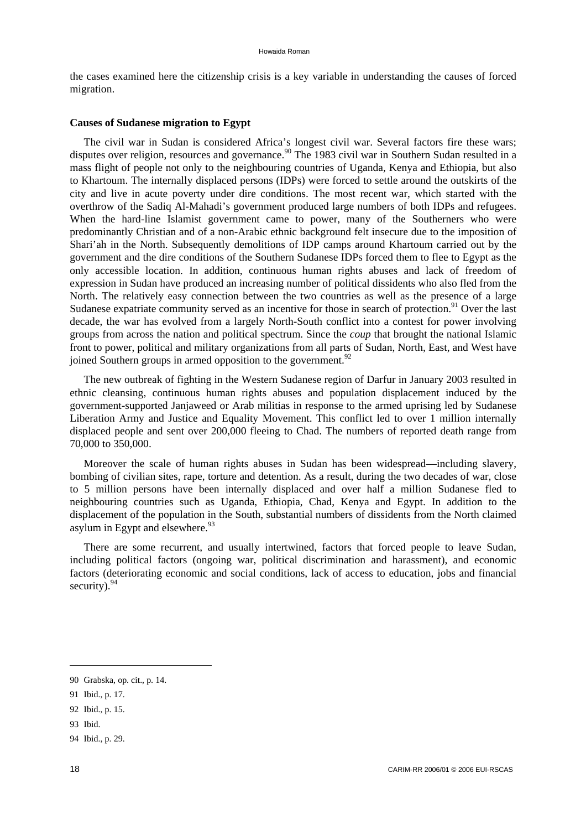the cases examined here the citizenship crisis is a key variable in understanding the causes of forced migration.

#### **Causes of Sudanese migration to Egypt**

The civil war in Sudan is considered Africa's longest civil war. Several factors fire these wars; disputes over religion, resources and governance.<sup>90</sup> The 1983 civil war in Southern Sudan resulted in a mass flight of people not only to the neighbouring countries of Uganda, Kenya and Ethiopia, but also to Khartoum. The internally displaced persons (IDPs) were forced to settle around the outskirts of the city and live in acute poverty under dire conditions. The most recent war, which started with the overthrow of the Sadiq Al-Mahadi's government produced large numbers of both IDPs and refugees. When the hard-line Islamist government came to power, many of the Southerners who were predominantly Christian and of a non-Arabic ethnic background felt insecure due to the imposition of Shari'ah in the North. Subsequently demolitions of IDP camps around Khartoum carried out by the government and the dire conditions of the Southern Sudanese IDPs forced them to flee to Egypt as the only accessible location. In addition, continuous human rights abuses and lack of freedom of expression in Sudan have produced an increasing number of political dissidents who also fled from the North. The relatively easy connection between the two countries as well as the presence of a large Sudanese expatriate community served as an incentive for those in search of protection.<sup>91</sup> Over the last decade, the war has evolved from a largely North-South conflict into a contest for power involving groups from across the nation and political spectrum. Since the *coup* that brought the national Islamic front to power, political and military organizations from all parts of Sudan, North, East, and West have joined Southern groups in armed opposition to the government.<sup>92</sup>

The new outbreak of fighting in the Western Sudanese region of Darfur in January 2003 resulted in ethnic cleansing, continuous human rights abuses and population displacement induced by the government-supported Janjaweed or Arab militias in response to the armed uprising led by Sudanese Liberation Army and Justice and Equality Movement. This conflict led to over 1 million internally displaced people and sent over 200,000 fleeing to Chad. The numbers of reported death range from 70,000 to 350,000.

Moreover the scale of human rights abuses in Sudan has been widespread—including slavery, bombing of civilian sites, rape, torture and detention. As a result, during the two decades of war, close to 5 million persons have been internally displaced and over half a million Sudanese fled to neighbouring countries such as Uganda, Ethiopia, Chad, Kenya and Egypt. In addition to the displacement of the population in the South, substantial numbers of dissidents from the North claimed asylum in Egypt and elsewhere.<sup>93</sup>

There are some recurrent, and usually intertwined, factors that forced people to leave Sudan, including political factors (ongoing war, political discrimination and harassment), and economic factors (deteriorating economic and social conditions, lack of access to education, jobs and financial security).  $94$ 

- 91 Ibid., p. 17.
- 92 Ibid., p. 15.
- 93 Ibid.
- 94 Ibid., p. 29.

<sup>90</sup> Grabska, op. cit., p. 14.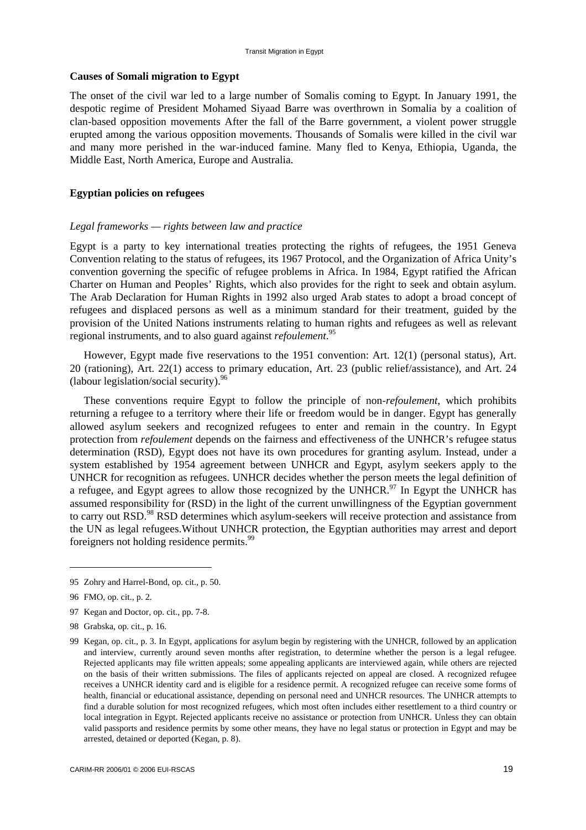#### **Causes of Somali migration to Egypt**

The onset of the civil war led to a large number of Somalis coming to Egypt. In January 1991, the despotic regime of President Mohamed Siyaad Barre was overthrown in Somalia by a coalition of clan-based opposition movements After the fall of the Barre government, a violent power struggle erupted among the various opposition movements. Thousands of Somalis were killed in the civil war and many more perished in the war-induced famine. Many fled to Kenya, Ethiopia, Uganda, the Middle East, North America, Europe and Australia.

### **Egyptian policies on refugees**

### *Legal frameworks — rights between law and practice*

Egypt is a party to key international treaties protecting the rights of refugees, the 1951 Geneva Convention relating to the status of refugees, its 1967 Protocol, and the Organization of Africa Unity's convention governing the specific of refugee problems in Africa. In 1984, Egypt ratified the African Charter on Human and Peoples' Rights, which also provides for the right to seek and obtain asylum. The Arab Declaration for Human Rights in 1992 also urged Arab states to adopt a broad concept of refugees and displaced persons as well as a minimum standard for their treatment, guided by the provision of the United Nations instruments relating to human rights and refugees as well as relevant regional instruments, and to also guard against *refoulement*. 95

However, Egypt made five reservations to the 1951 convention: Art. 12(1) (personal status), Art. 20 (rationing), Art. 22(1) access to primary education, Art. 23 (public relief/assistance), and Art. 24 (labour legislation/social security).96

These conventions require Egypt to follow the principle of non-*refoulement*, which prohibits returning a refugee to a territory where their life or freedom would be in danger. Egypt has generally allowed asylum seekers and recognized refugees to enter and remain in the country. In Egypt protection from *refoulement* depends on the fairness and effectiveness of the UNHCR's refugee status determination (RSD), Egypt does not have its own procedures for granting asylum. Instead, under a system established by 1954 agreement between UNHCR and Egypt, asylym seekers apply to the UNHCR for recognition as refugees. UNHCR decides whether the person meets the legal definition of a refugee, and Egypt agrees to allow those recognized by the UNHCR.<sup>97</sup> In Egypt the UNHCR has assumed responsibility for (RSD) in the light of the current unwillingness of the Egyptian government to carry out RSD.<sup>98</sup> RSD determines which asylum-seekers will receive protection and assistance from the UN as legal refugees.Without UNHCR protection, the Egyptian authorities may arrest and deport foreigners not holding residence permits.<sup>99</sup>

- 97 Kegan and Doctor, op. cit., pp. 7-8.
- 98 Grabska, op. cit., p. 16.

<sup>95</sup> Zohry and Harrel-Bond, op. cit., p. 50.

<sup>96</sup> FMO, op. cit., p. 2.

<sup>99</sup> Kegan, op. cit., p. 3. In Egypt, applications for asylum begin by registering with the UNHCR, followed by an application and interview, currently around seven months after registration, to determine whether the person is a legal refugee. Rejected applicants may file written appeals; some appealing applicants are interviewed again, while others are rejected on the basis of their written submissions. The files of applicants rejected on appeal are closed. A recognized refugee receives a UNHCR identity card and is eligible for a residence permit. A recognized refugee can receive some forms of health, financial or educational assistance, depending on personal need and UNHCR resources. The UNHCR attempts to find a durable solution for most recognized refugees, which most often includes either resettlement to a third country or local integration in Egypt. Rejected applicants receive no assistance or protection from UNHCR. Unless they can obtain valid passports and residence permits by some other means, they have no legal status or protection in Egypt and may be arrested, detained or deported (Kegan, p. 8).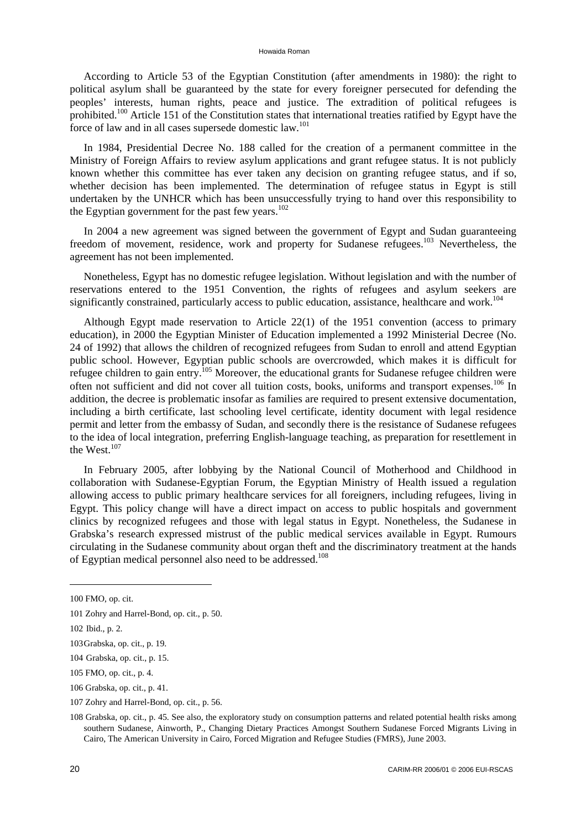According to Article 53 of the Egyptian Constitution (after amendments in 1980): the right to political asylum shall be guaranteed by the state for every foreigner persecuted for defending the peoples' interests, human rights, peace and justice. The extradition of political refugees is prohibited.<sup>100</sup> Article 151 of the Constitution states that international treaties ratified by Egypt have the force of law and in all cases supersede domestic law.<sup>101</sup>

In 1984, Presidential Decree No. 188 called for the creation of a permanent committee in the Ministry of Foreign Affairs to review asylum applications and grant refugee status. It is not publicly known whether this committee has ever taken any decision on granting refugee status, and if so, whether decision has been implemented. The determination of refugee status in Egypt is still undertaken by the UNHCR which has been unsuccessfully trying to hand over this responsibility to the Egyptian government for the past few years.<sup>102</sup>

In 2004 a new agreement was signed between the government of Egypt and Sudan guaranteeing freedom of movement, residence, work and property for Sudanese refugees.<sup>103</sup> Nevertheless, the agreement has not been implemented.

Nonetheless, Egypt has no domestic refugee legislation. Without legislation and with the number of reservations entered to the 1951 Convention, the rights of refugees and asylum seekers are significantly constrained, particularly access to public education, assistance, healthcare and work.<sup>104</sup>

Although Egypt made reservation to Article 22(1) of the 1951 convention (access to primary education), in 2000 the Egyptian Minister of Education implemented a 1992 Ministerial Decree (No. 24 of 1992) that allows the children of recognized refugees from Sudan to enroll and attend Egyptian public school. However, Egyptian public schools are overcrowded, which makes it is difficult for refugee children to gain entry.<sup>105</sup> Moreover, the educational grants for Sudanese refugee children were often not sufficient and did not cover all tuition costs, books, uniforms and transport expenses.106 In addition, the decree is problematic insofar as families are required to present extensive documentation, including a birth certificate, last schooling level certificate, identity document with legal residence permit and letter from the embassy of Sudan, and secondly there is the resistance of Sudanese refugees to the idea of local integration, preferring English-language teaching, as preparation for resettlement in the West.<sup>107</sup>

In February 2005, after lobbying by the National Council of Motherhood and Childhood in collaboration with Sudanese-Egyptian Forum, the Egyptian Ministry of Health issued a regulation allowing access to public primary healthcare services for all foreigners, including refugees, living in Egypt. This policy change will have a direct impact on access to public hospitals and government clinics by recognized refugees and those with legal status in Egypt. Nonetheless, the Sudanese in Grabska's research expressed mistrust of the public medical services available in Egypt. Rumours circulating in the Sudanese community about organ theft and the discriminatory treatment at the hands of Egyptian medical personnel also need to be addressed.<sup>108</sup>

<sup>100</sup> FMO, op. cit.

<sup>101</sup> Zohry and Harrel-Bond, op. cit., p. 50.

<sup>102</sup> Ibid., p. 2.

<sup>103</sup> Grabska, op. cit., p. 19.

<sup>104</sup> Grabska, op. cit., p. 15.

<sup>105</sup> FMO, op. cit., p. 4.

<sup>106</sup> Grabska, op. cit., p. 41.

<sup>107</sup> Zohry and Harrel-Bond, op. cit., p. 56.

<sup>108</sup> Grabska, op. cit., p. 45. See also, the exploratory study on consumption patterns and related potential health risks among southern Sudanese, Ainworth, P., Changing Dietary Practices Amongst Southern Sudanese Forced Migrants Living in Cairo, The American University in Cairo, Forced Migration and Refugee Studies (FMRS), June 2003.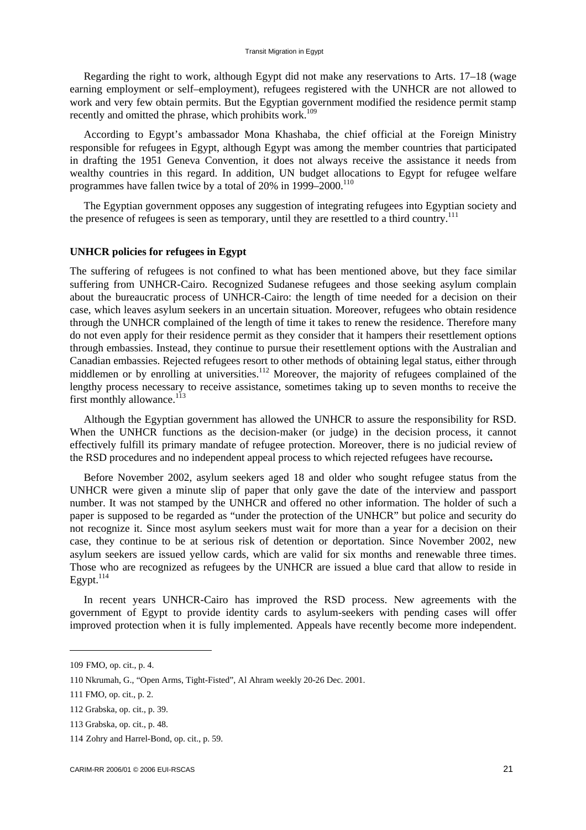Regarding the right to work, although Egypt did not make any reservations to Arts. 17–18 (wage earning employment or self–employment), refugees registered with the UNHCR are not allowed to work and very few obtain permits. But the Egyptian government modified the residence permit stamp recently and omitted the phrase, which prohibits work.<sup>109</sup>

According to Egypt's ambassador Mona Khashaba, the chief official at the Foreign Ministry responsible for refugees in Egypt, although Egypt was among the member countries that participated in drafting the 1951 Geneva Convention, it does not always receive the assistance it needs from wealthy countries in this regard. In addition, UN budget allocations to Egypt for refugee welfare programmes have fallen twice by a total of  $20\%$  in  $1999-2000$ .<sup>110</sup>

The Egyptian government opposes any suggestion of integrating refugees into Egyptian society and the presence of refugees is seen as temporary, until they are resettled to a third country.<sup>111</sup>

### **UNHCR policies for refugees in Egypt**

The suffering of refugees is not confined to what has been mentioned above, but they face similar suffering from UNHCR-Cairo. Recognized Sudanese refugees and those seeking asylum complain about the bureaucratic process of UNHCR-Cairo: the length of time needed for a decision on their case, which leaves asylum seekers in an uncertain situation. Moreover, refugees who obtain residence through the UNHCR complained of the length of time it takes to renew the residence. Therefore many do not even apply for their residence permit as they consider that it hampers their resettlement options through embassies. Instead, they continue to pursue their resettlement options with the Australian and Canadian embassies. Rejected refugees resort to other methods of obtaining legal status, either through middlemen or by enrolling at universities.<sup>112</sup> Moreover, the majority of refugees complained of the lengthy process necessary to receive assistance, sometimes taking up to seven months to receive the first monthly allowance. $^{113}$ 

Although the Egyptian government has allowed the UNHCR to assure the responsibility for RSD. When the UNHCR functions as the decision-maker (or judge) in the decision process, it cannot effectively fulfill its primary mandate of refugee protection. Moreover, there is no judicial review of the RSD procedures and no independent appeal process to which rejected refugees have recourse**.** 

Before November 2002, asylum seekers aged 18 and older who sought refugee status from the UNHCR were given a minute slip of paper that only gave the date of the interview and passport number. It was not stamped by the UNHCR and offered no other information. The holder of such a paper is supposed to be regarded as "under the protection of the UNHCR" but police and security do not recognize it. Since most asylum seekers must wait for more than a year for a decision on their case, they continue to be at serious risk of detention or deportation. Since November 2002, new asylum seekers are issued yellow cards, which are valid for six months and renewable three times. Those who are recognized as refugees by the UNHCR are issued a blue card that allow to reside in  $E$ gypt. $114$ 

In recent years UNHCR-Cairo has improved the RSD process. New agreements with the government of Egypt to provide identity cards to asylum-seekers with pending cases will offer improved protection when it is fully implemented. Appeals have recently become more independent.

<sup>109</sup> FMO, op. cit., p. 4.

<sup>110</sup> Nkrumah, G., "Open Arms, Tight-Fisted", Al Ahram weekly 20-26 Dec. 2001.

<sup>111</sup> FMO, op. cit., p. 2.

<sup>112</sup> Grabska, op. cit., p. 39.

<sup>113</sup> Grabska, op. cit., p. 48.

<sup>114</sup> Zohry and Harrel-Bond, op. cit., p. 59.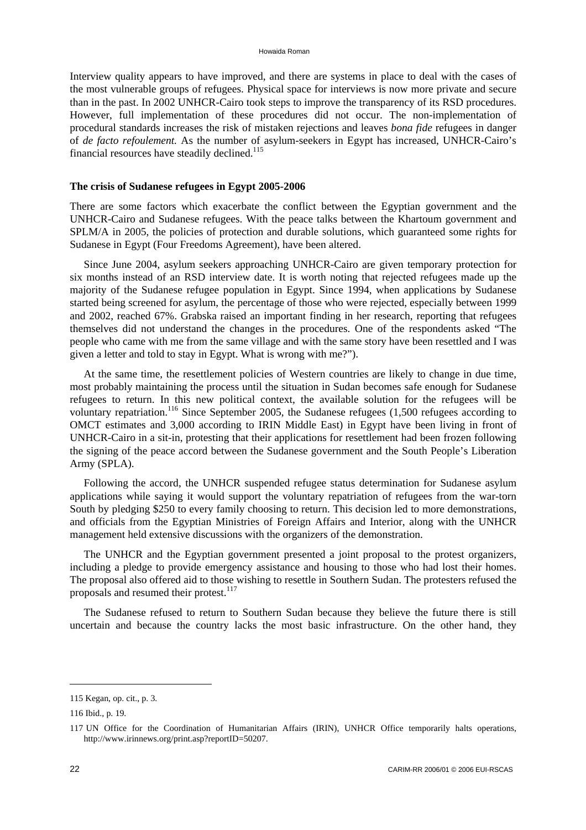Interview quality appears to have improved, and there are systems in place to deal with the cases of the most vulnerable groups of refugees. Physical space for interviews is now more private and secure than in the past. In 2002 UNHCR-Cairo took steps to improve the transparency of its RSD procedures. However, full implementation of these procedures did not occur. The non-implementation of procedural standards increases the risk of mistaken rejections and leaves *bona fide* refugees in danger of *de facto refoulement.* As the number of asylum-seekers in Egypt has increased, UNHCR-Cairo's financial resources have steadily declined.115

#### **The crisis of Sudanese refugees in Egypt 2005-2006**

There are some factors which exacerbate the conflict between the Egyptian government and the UNHCR-Cairo and Sudanese refugees. With the peace talks between the Khartoum government and SPLM/A in 2005, the policies of protection and durable solutions, which guaranteed some rights for Sudanese in Egypt (Four Freedoms Agreement), have been altered.

Since June 2004, asylum seekers approaching UNHCR-Cairo are given temporary protection for six months instead of an RSD interview date. It is worth noting that rejected refugees made up the majority of the Sudanese refugee population in Egypt. Since 1994, when applications by Sudanese started being screened for asylum, the percentage of those who were rejected, especially between 1999 and 2002, reached 67%. Grabska raised an important finding in her research, reporting that refugees themselves did not understand the changes in the procedures. One of the respondents asked "The people who came with me from the same village and with the same story have been resettled and I was given a letter and told to stay in Egypt. What is wrong with me?").

At the same time, the resettlement policies of Western countries are likely to change in due time, most probably maintaining the process until the situation in Sudan becomes safe enough for Sudanese refugees to return. In this new political context, the available solution for the refugees will be voluntary repatriation.<sup>116</sup> Since September 2005, the Sudanese refugees (1,500 refugees according to OMCT estimates and 3,000 according to IRIN Middle East) in Egypt have been living in front of UNHCR-Cairo in a sit-in, protesting that their applications for resettlement had been frozen following the signing of the peace accord between the Sudanese government and the South People's Liberation Army (SPLA).

Following the accord, the UNHCR suspended refugee status determination for Sudanese asylum applications while saying it would support the voluntary repatriation of refugees from the war-torn South by pledging \$250 to every family choosing to return. This decision led to more demonstrations, and officials from the Egyptian Ministries of Foreign Affairs and Interior, along with the UNHCR management held extensive discussions with the organizers of the demonstration.

The UNHCR and the Egyptian government presented a joint proposal to the protest organizers, including a pledge to provide emergency assistance and housing to those who had lost their homes. The proposal also offered aid to those wishing to resettle in Southern Sudan. The protesters refused the proposals and resumed their protest.<sup>117</sup>

The Sudanese refused to return to Southern Sudan because they believe the future there is still uncertain and because the country lacks the most basic infrastructure. On the other hand, they

<sup>115</sup> Kegan, op. cit., p. 3.

<sup>116</sup> Ibid., p. 19.

<sup>117</sup> UN Office for the Coordination of Humanitarian Affairs (IRIN), UNHCR Office temporarily halts operations, [http://www.irinnews.org/print.asp?reportID=50207.](http://www.irinnews.org/print.asp?reportID=50207)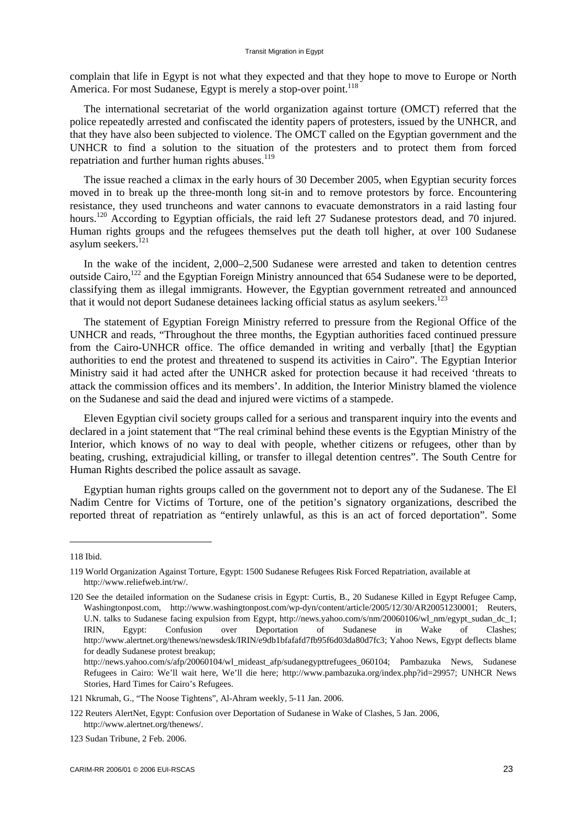complain that life in Egypt is not what they expected and that they hope to move to Europe or North America. For most Sudanese, Egypt is merely a stop-over point.<sup>118</sup>

The international secretariat of the world organization against torture (OMCT) referred that the police repeatedly arrested and confiscated the identity papers of protesters, issued by the UNHCR, and that they have also been subjected to violence. The OMCT called on the Egyptian government and the UNHCR to find a solution to the situation of the protesters and to protect them from forced repatriation and further human rights abuses.<sup>119</sup>

The issue reached a climax in the early hours of 30 December 2005, when Egyptian security forces moved in to break up the three-month long sit-in and to remove protestors by force. Encountering resistance, they used truncheons and water cannons to evacuate demonstrators in a raid lasting four hours.<sup>120</sup> According to Egyptian officials, the raid left 27 Sudanese protestors dead, and 70 injured. Human rights groups and the refugees themselves put the death toll higher, at over 100 Sudanese asylum seekers.<sup>121</sup>

In the wake of the incident, 2,000–2,500 Sudanese were arrested and taken to detention centres outside Cairo,<sup>122</sup> and the Egyptian Foreign Ministry announced that 654 Sudanese were to be deported, classifying them as illegal immigrants. However, the Egyptian government retreated and announced that it would not deport Sudanese detainees lacking official status as asylum seekers.<sup>123</sup>

The statement of Egyptian Foreign Ministry referred to pressure from the Regional Office of the UNHCR and reads, "Throughout the three months, the Egyptian authorities faced continued pressure from the Cairo-UNHCR office. The office demanded in writing and verbally [that] the Egyptian authorities to end the protest and threatened to suspend its activities in Cairo". The Egyptian Interior Ministry said it had acted after the UNHCR asked for protection because it had received 'threats to attack the commission offices and its members'. In addition, the Interior Ministry blamed the violence on the Sudanese and said the dead and injured were victims of a stampede.

Eleven Egyptian civil society groups called for a serious and transparent inquiry into the events and declared in a joint statement that "The real criminal behind these events is the Egyptian Ministry of the Interior, which knows of no way to deal with people, whether citizens or refugees, other than by beating, crushing, extrajudicial killing, or transfer to illegal detention centres". The South Centre for Human Rights described the police assault as savage.

Egyptian human rights groups called on the government not to deport any of the Sudanese. The El Nadim Centre for Victims of Torture, one of the petition's signatory organizations, described the reported threat of repatriation as "entirely unlawful, as this is an act of forced deportation". Some

<sup>118</sup> Ibid.

<sup>119</sup> World Organization Against Torture, Egypt: 1500 Sudanese Refugees Risk Forced Repatriation, available at [http://www.reliefweb.int/rw/.](http://www.reliefweb.int/rw/)

<sup>120</sup> See the detailed information on the Sudanese crisis in Egypt: Curtis, B., 20 Sudanese Killed in Egypt Refugee Camp, Washingtonpost.com, [http://www.washingtonpost.com/wp-dyn/content/article/2005/12/30/AR20051230001;](http://www.washingtonpost.com/wp-dyn/content/article/2005/12/30/AR20051230001) Reuters, U.N. talks to Sudanese facing expulsion from Egypt, [http://news.yahoo.com/s/nm/20060106/wl\\_nm/egypt\\_sudan\\_dc\\_1;](http://news.yahoo.com/s/nm/20060106/wl_nm/egypt_sudan_dc_1) IRIN, Egypt: Confusion over Deportation of Sudanese in Wake of Clashes; [http://www.alertnet.org/thenews/newsdesk/IRIN/e9db1bfafafd7fb95f6d03da80d7fc3;](http://www.alertnet.org/thenews/newsdesk/IRIN/e9db1bfafafd7fb95f6d03da80d7fc3) Yahoo News, Egypt deflects blame for deadly Sudanese protest breakup;

[http://news.yahoo.com/s/afp/20060104/wl\\_mideast\\_afp/sudanegypttrefugees\\_060104;](http://news.yahoo.com/s/afp/20060104/wl_mideast_afp/sudanegypttrefugees_060104) Pambazuka News, Sudanese Refugees in Cairo: We'll wait here, We'll die here; [http://www.pambazuka.org/index.php?id=29957;](http://www.pambazuka.org/index.php?id=29957) UNHCR News Stories, Hard Times for Cairo's Refugees.

<sup>121</sup> Nkrumah, G., "The Noose Tightens", Al-Ahram weekly, 5-11 Jan. 2006.

<sup>122</sup> Reuters AlertNet, Egypt: Confusion over Deportation of Sudanese in Wake of Clashes, 5 Jan. 2006, [http://www.alertnet.org/thenews/.](http://www.alertnet.org/thenews/)

<sup>123</sup> Sudan Tribune, 2 Feb. 2006.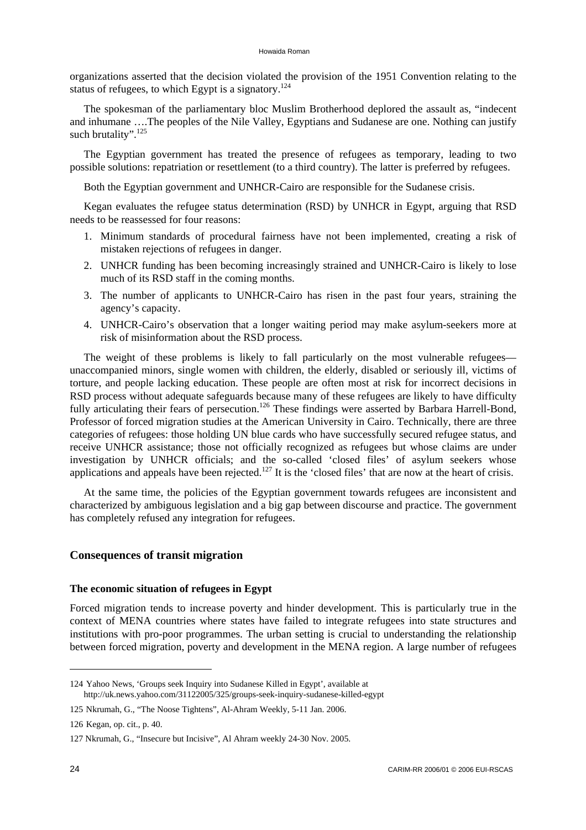organizations asserted that the decision violated the provision of the 1951 Convention relating to the status of refugees, to which Egypt is a signatory.<sup>124</sup>

The spokesman of the parliamentary bloc Muslim Brotherhood deplored the assault as, "indecent and inhumane ….The peoples of the Nile Valley, Egyptians and Sudanese are one. Nothing can justify such brutality".<sup>125</sup>

The Egyptian government has treated the presence of refugees as temporary, leading to two possible solutions: repatriation or resettlement (to a third country). The latter is preferred by refugees.

Both the Egyptian government and UNHCR-Cairo are responsible for the Sudanese crisis.

Kegan evaluates the refugee status determination (RSD) by UNHCR in Egypt, arguing that RSD needs to be reassessed for four reasons:

- 1. Minimum standards of procedural fairness have not been implemented, creating a risk of mistaken rejections of refugees in danger.
- 2. UNHCR funding has been becoming increasingly strained and UNHCR-Cairo is likely to lose much of its RSD staff in the coming months.
- 3. The number of applicants to UNHCR-Cairo has risen in the past four years, straining the agency's capacity.
- 4. UNHCR-Cairo's observation that a longer waiting period may make asylum-seekers more at risk of misinformation about the RSD process.

The weight of these problems is likely to fall particularly on the most vulnerable refugees unaccompanied minors, single women with children, the elderly, disabled or seriously ill, victims of torture, and people lacking education. These people are often most at risk for incorrect decisions in RSD process without adequate safeguards because many of these refugees are likely to have difficulty fully articulating their fears of persecution.<sup>126</sup> These findings were asserted by Barbara Harrell-Bond, Professor of forced migration studies at the American University in Cairo. Technically, there are three categories of refugees: those holding UN blue cards who have successfully secured refugee status, and receive UNHCR assistance; those not officially recognized as refugees but whose claims are under investigation by UNHCR officials; and the so-called 'closed files' of asylum seekers whose applications and appeals have been rejected.<sup>127</sup> It is the 'closed files' that are now at the heart of crisis.

At the same time, the policies of the Egyptian government towards refugees are inconsistent and characterized by ambiguous legislation and a big gap between discourse and practice. The government has completely refused any integration for refugees.

### **Consequences of transit migration**

#### **The economic situation of refugees in Egypt**

Forced migration tends to increase poverty and hinder development. This is particularly true in the context of MENA countries where states have failed to integrate refugees into state structures and institutions with pro-poor programmes. The urban setting is crucial to understanding the relationship between forced migration, poverty and development in the MENA region. A large number of refugees

<sup>124</sup> Yahoo News, 'Groups seek Inquiry into Sudanese Killed in Egypt', available at <http://uk.news.yahoo.com/31122005/325/groups-seek-inquiry-sudanese-killed-egypt>

<sup>125</sup> Nkrumah, G., "The Noose Tightens", Al-Ahram Weekly, 5-11 Jan. 2006.

<sup>126</sup> Kegan, op. cit., p. 40.

<sup>127</sup> Nkrumah, G., "Insecure but Incisive", Al Ahram weekly 24-30 Nov. 2005.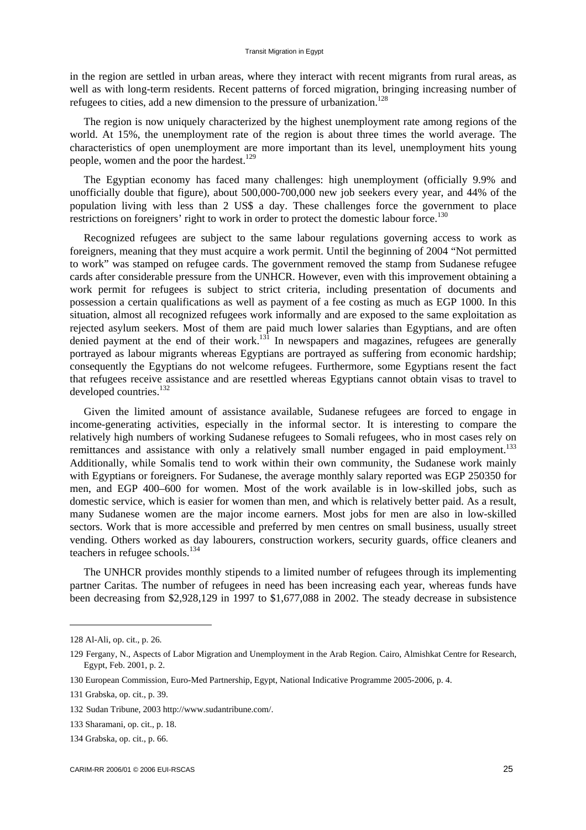in the region are settled in urban areas, where they interact with recent migrants from rural areas, as well as with long-term residents. Recent patterns of forced migration, bringing increasing number of refugees to cities, add a new dimension to the pressure of urbanization.<sup>128</sup>

The region is now uniquely characterized by the highest unemployment rate among regions of the world. At 15%, the unemployment rate of the region is about three times the world average. The characteristics of open unemployment are more important than its level, unemployment hits young people, women and the poor the hardest.<sup>129</sup>

The Egyptian economy has faced many challenges: high unemployment (officially 9.9% and unofficially double that figure), about 500,000-700,000 new job seekers every year, and 44% of the population living with less than 2 US\$ a day. These challenges force the government to place restrictions on foreigners' right to work in order to protect the domestic labour force.<sup>130</sup>

Recognized refugees are subject to the same labour regulations governing access to work as foreigners, meaning that they must acquire a work permit. Until the beginning of 2004 "Not permitted to work" was stamped on refugee cards. The government removed the stamp from Sudanese refugee cards after considerable pressure from the UNHCR. However, even with this improvement obtaining a work permit for refugees is subject to strict criteria, including presentation of documents and possession a certain qualifications as well as payment of a fee costing as much as EGP 1000. In this situation, almost all recognized refugees work informally and are exposed to the same exploitation as rejected asylum seekers. Most of them are paid much lower salaries than Egyptians, and are often denied payment at the end of their work.<sup>131</sup> In newspapers and magazines, refugees are generally portrayed as labour migrants whereas Egyptians are portrayed as suffering from economic hardship; consequently the Egyptians do not welcome refugees. Furthermore, some Egyptians resent the fact that refugees receive assistance and are resettled whereas Egyptians cannot obtain visas to travel to developed countries.<sup>132</sup>

Given the limited amount of assistance available, Sudanese refugees are forced to engage in income-generating activities, especially in the informal sector. It is interesting to compare the relatively high numbers of working Sudanese refugees to Somali refugees, who in most cases rely on remittances and assistance with only a relatively small number engaged in paid employment.<sup>133</sup> Additionally, while Somalis tend to work within their own community, the Sudanese work mainly with Egyptians or foreigners. For Sudanese, the average monthly salary reported was EGP 250350 for men, and EGP 400–600 for women. Most of the work available is in low-skilled jobs, such as domestic service, which is easier for women than men, and which is relatively better paid. As a result, many Sudanese women are the major income earners. Most jobs for men are also in low-skilled sectors. Work that is more accessible and preferred by men centres on small business, usually street vending. Others worked as day labourers, construction workers, security guards, office cleaners and teachers in refugee schools.<sup>134</sup>

The UNHCR provides monthly stipends to a limited number of refugees through its implementing partner Caritas. The number of refugees in need has been increasing each year, whereas funds have been decreasing from \$2,928,129 in 1997 to \$1,677,088 in 2002. The steady decrease in subsistence

<sup>128</sup> Al-Ali, op. cit., p. 26.

<sup>129</sup> Fergany, N., Aspects of Labor Migration and Unemployment in the Arab Region. Cairo, Almishkat Centre for Research, Egypt, Feb. 2001, p. 2.

<sup>130</sup> European Commission, Euro-Med Partnership, Egypt, National Indicative Programme 2005-2006, p. 4.

<sup>131</sup> Grabska, op. cit., p. 39.

<sup>132</sup> Sudan Tribune, 2003 [http://www.sudantribune.com/.](http://www.sudantribune.com/) 

<sup>133</sup> Sharamani, op. cit., p. 18.

<sup>134</sup> Grabska, op. cit., p. 66.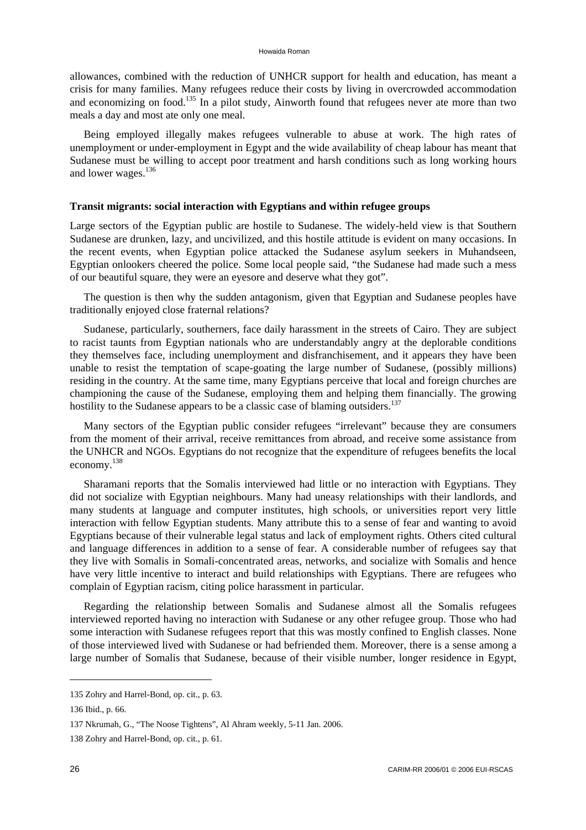allowances, combined with the reduction of UNHCR support for health and education, has meant a crisis for many families. Many refugees reduce their costs by living in overcrowded accommodation and economizing on food.<sup>135</sup> In a pilot study, Ainworth found that refugees never ate more than two meals a day and most ate only one meal.

Being employed illegally makes refugees vulnerable to abuse at work. The high rates of unemployment or under-employment in Egypt and the wide availability of cheap labour has meant that Sudanese must be willing to accept poor treatment and harsh conditions such as long working hours and lower wages.<sup>136</sup>

#### **Transit migrants: social interaction with Egyptians and within refugee groups**

Large sectors of the Egyptian public are hostile to Sudanese. The widely-held view is that Southern Sudanese are drunken, lazy, and uncivilized, and this hostile attitude is evident on many occasions. In the recent events, when Egyptian police attacked the Sudanese asylum seekers in Muhandseen, Egyptian onlookers cheered the police. Some local people said, "the Sudanese had made such a mess of our beautiful square, they were an eyesore and deserve what they got".

The question is then why the sudden antagonism, given that Egyptian and Sudanese peoples have traditionally enjoyed close fraternal relations?

Sudanese, particularly, southerners, face daily harassment in the streets of Cairo. They are subject to racist taunts from Egyptian nationals who are understandably angry at the deplorable conditions they themselves face, including unemployment and disfranchisement, and it appears they have been unable to resist the temptation of scape-goating the large number of Sudanese, (possibly millions) residing in the country. At the same time, many Egyptians perceive that local and foreign churches are championing the cause of the Sudanese, employing them and helping them financially. The growing hostility to the Sudanese appears to be a classic case of blaming outsiders.<sup>137</sup>

Many sectors of the Egyptian public consider refugees "irrelevant" because they are consumers from the moment of their arrival, receive remittances from abroad, and receive some assistance from the UNHCR and NGOs. Egyptians do not recognize that the expenditure of refugees benefits the local economy.138

Sharamani reports that the Somalis interviewed had little or no interaction with Egyptians. They did not socialize with Egyptian neighbours. Many had uneasy relationships with their landlords, and many students at language and computer institutes, high schools, or universities report very little interaction with fellow Egyptian students. Many attribute this to a sense of fear and wanting to avoid Egyptians because of their vulnerable legal status and lack of employment rights. Others cited cultural and language differences in addition to a sense of fear. A considerable number of refugees say that they live with Somalis in Somali-concentrated areas, networks, and socialize with Somalis and hence have very little incentive to interact and build relationships with Egyptians. There are refugees who complain of Egyptian racism, citing police harassment in particular.

Regarding the relationship between Somalis and Sudanese almost all the Somalis refugees interviewed reported having no interaction with Sudanese or any other refugee group. Those who had some interaction with Sudanese refugees report that this was mostly confined to English classes. None of those interviewed lived with Sudanese or had befriended them. Moreover, there is a sense among a large number of Somalis that Sudanese, because of their visible number, longer residence in Egypt,

<sup>135</sup> Zohry and Harrel-Bond, op. cit., p. 63.

<sup>136</sup> Ibid., p. 66.

<sup>137</sup> Nkrumah, G., "The Noose Tightens", Al Ahram weekly, 5-11 Jan. 2006.

<sup>138</sup> Zohry and Harrel-Bond, op. cit., p. 61.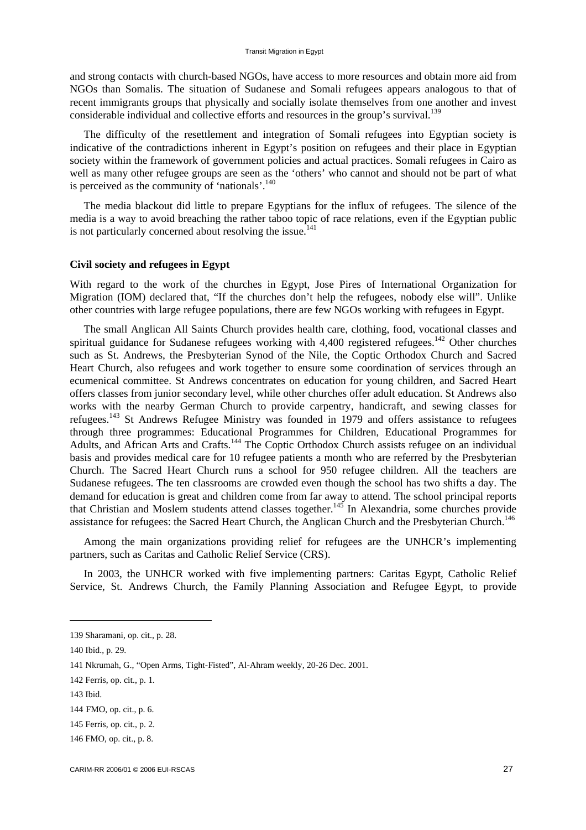and strong contacts with church-based NGOs, have access to more resources and obtain more aid from NGOs than Somalis. The situation of Sudanese and Somali refugees appears analogous to that of recent immigrants groups that physically and socially isolate themselves from one another and invest considerable individual and collective efforts and resources in the group's survival.139

The difficulty of the resettlement and integration of Somali refugees into Egyptian society is indicative of the contradictions inherent in Egypt's position on refugees and their place in Egyptian society within the framework of government policies and actual practices. Somali refugees in Cairo as well as many other refugee groups are seen as the 'others' who cannot and should not be part of what is perceived as the community of 'nationals'. $140$ 

The media blackout did little to prepare Egyptians for the influx of refugees. The silence of the media is a way to avoid breaching the rather taboo topic of race relations, even if the Egyptian public is not particularly concerned about resolving the issue.<sup>141</sup>

#### **Civil society and refugees in Egypt**

With regard to the work of the churches in Egypt, Jose Pires of International Organization for Migration (IOM) declared that, "If the churches don't help the refugees, nobody else will". Unlike other countries with large refugee populations, there are few NGOs working with refugees in Egypt.

The small Anglican All Saints Church provides health care, clothing, food, vocational classes and spiritual guidance for Sudanese refugees working with  $4,400$  registered refugees.<sup>142</sup> Other churches such as St. Andrews, the Presbyterian Synod of the Nile, the Coptic Orthodox Church and Sacred Heart Church, also refugees and work together to ensure some coordination of services through an ecumenical committee. St Andrews concentrates on education for young children, and Sacred Heart offers classes from junior secondary level, while other churches offer adult education. St Andrews also works with the nearby German Church to provide carpentry, handicraft, and sewing classes for refugees.143 St Andrews Refugee Ministry was founded in 1979 and offers assistance to refugees through three programmes: Educational Programmes for Children, Educational Programmes for Adults, and African Arts and Crafts.<sup>144</sup> The Coptic Orthodox Church assists refugee on an individual basis and provides medical care for 10 refugee patients a month who are referred by the Presbyterian Church. The Sacred Heart Church runs a school for 950 refugee children. All the teachers are Sudanese refugees. The ten classrooms are crowded even though the school has two shifts a day. The demand for education is great and children come from far away to attend. The school principal reports that Christian and Moslem students attend classes together.<sup>145</sup> In Alexandria, some churches provide assistance for refugees: the Sacred Heart Church, the Anglican Church and the Presbyterian Church.<sup>146</sup>

Among the main organizations providing relief for refugees are the UNHCR's implementing partners, such as Caritas and Catholic Relief Service (CRS).

In 2003, the UNHCR worked with five implementing partners: Caritas Egypt, Catholic Relief Service, St. Andrews Church, the Family Planning Association and Refugee Egypt, to provide

143 Ibid.

<sup>139</sup> Sharamani, op. cit., p. 28.

<sup>140</sup> Ibid., p. 29.

<sup>141</sup> Nkrumah, G., "Open Arms, Tight-Fisted", Al-Ahram weekly, 20-26 Dec. 2001.

<sup>142</sup> Ferris, op. cit., p. 1.

<sup>144</sup> FMO, op. cit., p. 6.

<sup>145</sup> Ferris, op. cit., p. 2.

<sup>146</sup> FMO, op. cit., p. 8.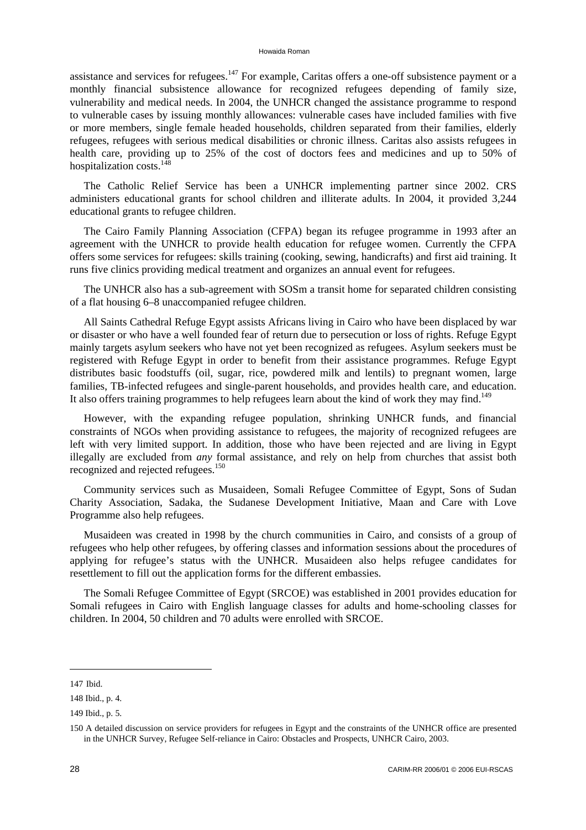assistance and services for refugees.<sup>147</sup> For example, Caritas offers a one-off subsistence payment or a monthly financial subsistence allowance for recognized refugees depending of family size, vulnerability and medical needs. In 2004, the UNHCR changed the assistance programme to respond to vulnerable cases by issuing monthly allowances: vulnerable cases have included families with five or more members, single female headed households, children separated from their families, elderly refugees, refugees with serious medical disabilities or chronic illness. Caritas also assists refugees in health care, providing up to 25% of the cost of doctors fees and medicines and up to 50% of hospitalization costs.<sup>148</sup>

The Catholic Relief Service has been a UNHCR implementing partner since 2002. CRS administers educational grants for school children and illiterate adults. In 2004, it provided 3,244 educational grants to refugee children.

The Cairo Family Planning Association (CFPA) began its refugee programme in 1993 after an agreement with the UNHCR to provide health education for refugee women. Currently the CFPA offers some services for refugees: skills training (cooking, sewing, handicrafts) and first aid training. It runs five clinics providing medical treatment and organizes an annual event for refugees.

The UNHCR also has a sub-agreement with SOSm a transit home for separated children consisting of a flat housing 6–8 unaccompanied refugee children.

All Saints Cathedral Refuge Egypt assists Africans living in Cairo who have been displaced by war or disaster or who have a well founded fear of return due to persecution or loss of rights. Refuge Egypt mainly targets asylum seekers who have not yet been recognized as refugees. Asylum seekers must be registered with Refuge Egypt in order to benefit from their assistance programmes. Refuge Egypt distributes basic foodstuffs (oil, sugar, rice, powdered milk and lentils) to pregnant women, large families, TB-infected refugees and single-parent households, and provides health care, and education. It also offers training programmes to help refugees learn about the kind of work they may find.<sup>149</sup>

However, with the expanding refugee population, shrinking UNHCR funds, and financial constraints of NGOs when providing assistance to refugees, the majority of recognized refugees are left with very limited support. In addition, those who have been rejected and are living in Egypt illegally are excluded from *any* formal assistance, and rely on help from churches that assist both recognized and rejected refugees.<sup>150</sup>

Community services such as Musaideen, Somali Refugee Committee of Egypt, Sons of Sudan Charity Association, Sadaka, the Sudanese Development Initiative, Maan and Care with Love Programme also help refugees.

Musaideen was created in 1998 by the church communities in Cairo, and consists of a group of refugees who help other refugees, by offering classes and information sessions about the procedures of applying for refugee's status with the UNHCR. Musaideen also helps refugee candidates for resettlement to fill out the application forms for the different embassies.

The Somali Refugee Committee of Egypt (SRCOE) was established in 2001 provides education for Somali refugees in Cairo with English language classes for adults and home-schooling classes for children. In 2004, 50 children and 70 adults were enrolled with SRCOE.

<sup>147</sup> Ibid.

<sup>148</sup> Ibid., p. 4.

<sup>149</sup> Ibid., p. 5.

<sup>150</sup> A detailed discussion on service providers for refugees in Egypt and the constraints of the UNHCR office are presented in the UNHCR Survey, Refugee Self-reliance in Cairo: Obstacles and Prospects, UNHCR Cairo, 2003.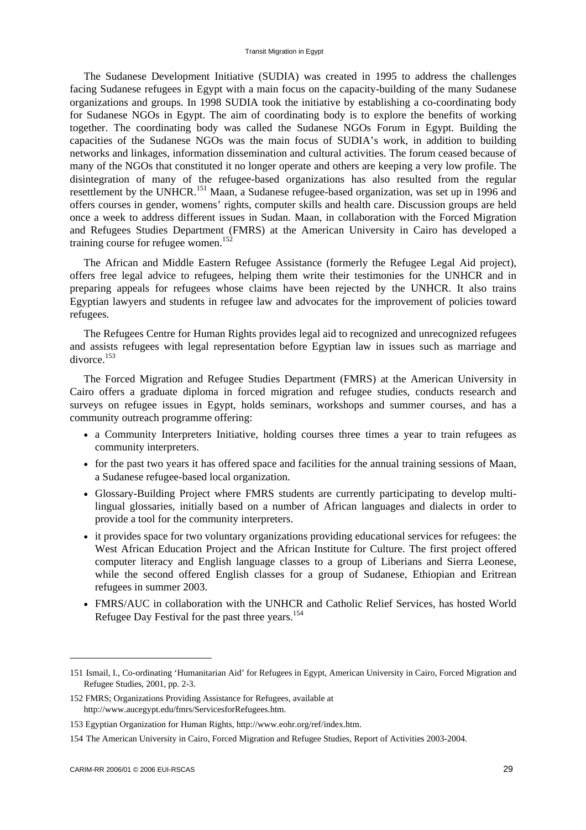The Sudanese Development Initiative (SUDIA) was created in 1995 to address the challenges facing Sudanese refugees in Egypt with a main focus on the capacity-building of the many Sudanese organizations and groups. In 1998 SUDIA took the initiative by establishing a co-coordinating body for Sudanese NGOs in Egypt. The aim of coordinating body is to explore the benefits of working together. The coordinating body was called the Sudanese NGOs Forum in Egypt. Building the capacities of the Sudanese NGOs was the main focus of SUDIA's work, in addition to building networks and linkages, information dissemination and cultural activities. The forum ceased because of many of the NGOs that constituted it no longer operate and others are keeping a very low profile. The disintegration of many of the refugee-based organizations has also resulted from the regular resettlement by the UNHCR.151 Maan, a Sudanese refugee-based organization, was set up in 1996 and offers courses in gender, womens' rights, computer skills and health care. Discussion groups are held once a week to address different issues in Sudan. Maan, in collaboration with the Forced Migration and Refugees Studies Department (FMRS) at the American University in Cairo has developed a training course for refugee women.<sup>152</sup>

The African and Middle Eastern Refugee Assistance (formerly the Refugee Legal Aid project), offers free legal advice to refugees, helping them write their testimonies for the UNHCR and in preparing appeals for refugees whose claims have been rejected by the UNHCR. It also trains Egyptian lawyers and students in refugee law and advocates for the improvement of policies toward refugees.

The Refugees Centre for Human Rights provides legal aid to recognized and unrecognized refugees and assists refugees with legal representation before Egyptian law in issues such as marriage and divorce.<sup>153</sup>

The Forced Migration and Refugee Studies Department (FMRS) at the American University in Cairo offers a graduate diploma in forced migration and refugee studies, conducts research and surveys on refugee issues in Egypt, holds seminars, workshops and summer courses, and has a community outreach programme offering:

- a Community Interpreters Initiative, holding courses three times a year to train refugees as community interpreters.
- for the past two years it has offered space and facilities for the annual training sessions of Maan, a Sudanese refugee-based local organization.
- Glossary-Building Project where FMRS students are currently participating to develop multilingual glossaries, initially based on a number of African languages and dialects in order to provide a tool for the community interpreters.
- it provides space for two voluntary organizations providing educational services for refugees: the West African Education Project and the African Institute for Culture. The first project offered computer literacy and English language classes to a group of Liberians and Sierra Leonese, while the second offered English classes for a group of Sudanese, Ethiopian and Eritrean refugees in summer 2003.
- FMRS/AUC in collaboration with the UNHCR and Catholic Relief Services, has hosted World Refugee Day Festival for the past three years.<sup>154</sup>

<sup>151</sup> Ismail, I., Co-ordinating 'Humanitarian Aid' for Refugees in Egypt, American University in Cairo, Forced Migration and Refugee Studies, 2001, pp. 2-3.

<sup>152</sup> FMRS; Organizations Providing Assistance for Refugees, available at [http://www.aucegypt.edu/fmrs/ServicesforRefugees.htm.](http://www.aucegypt.edu/fmrs/ServicesforRefugees.htm) 

<sup>153</sup> Egyptian Organization for Human Rights, [http://www.eohr.org/ref/index.htm.](http://www.eohr.org/ref/index.htm)

<sup>154</sup> The American University in Cairo, Forced Migration and Refugee Studies, Report of Activities 2003-2004.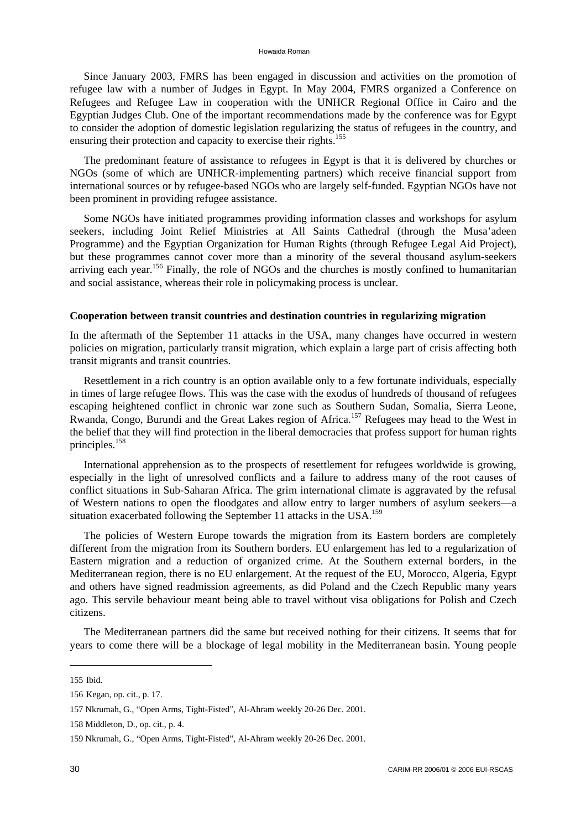Since January 2003, FMRS has been engaged in discussion and activities on the promotion of refugee law with a number of Judges in Egypt. In May 2004, FMRS organized a Conference on Refugees and Refugee Law in cooperation with the UNHCR Regional Office in Cairo and the Egyptian Judges Club. One of the important recommendations made by the conference was for Egypt to consider the adoption of domestic legislation regularizing the status of refugees in the country, and ensuring their protection and capacity to exercise their rights.<sup>155</sup>

The predominant feature of assistance to refugees in Egypt is that it is delivered by churches or NGOs (some of which are UNHCR-implementing partners) which receive financial support from international sources or by refugee-based NGOs who are largely self-funded. Egyptian NGOs have not been prominent in providing refugee assistance.

Some NGOs have initiated programmes providing information classes and workshops for asylum seekers, including Joint Relief Ministries at All Saints Cathedral (through the Musa'adeen Programme) and the Egyptian Organization for Human Rights (through Refugee Legal Aid Project), but these programmes cannot cover more than a minority of the several thousand asylum-seekers arriving each year.<sup>156</sup> Finally, the role of NGOs and the churches is mostly confined to humanitarian and social assistance, whereas their role in policymaking process is unclear.

#### **Cooperation between transit countries and destination countries in regularizing migration**

In the aftermath of the September 11 attacks in the USA, many changes have occurred in western policies on migration, particularly transit migration, which explain a large part of crisis affecting both transit migrants and transit countries.

Resettlement in a rich country is an option available only to a few fortunate individuals, especially in times of large refugee flows. This was the case with the exodus of hundreds of thousand of refugees escaping heightened conflict in chronic war zone such as Southern Sudan, Somalia, Sierra Leone, Rwanda, Congo, Burundi and the Great Lakes region of Africa.<sup>157</sup> Refugees may head to the West in the belief that they will find protection in the liberal democracies that profess support for human rights principles.<sup>158</sup>

International apprehension as to the prospects of resettlement for refugees worldwide is growing, especially in the light of unresolved conflicts and a failure to address many of the root causes of conflict situations in Sub-Saharan Africa. The grim international climate is aggravated by the refusal of Western nations to open the floodgates and allow entry to larger numbers of asylum seekers—a situation exacerbated following the September 11 attacks in the USA.<sup>159</sup>

The policies of Western Europe towards the migration from its Eastern borders are completely different from the migration from its Southern borders. EU enlargement has led to a regularization of Eastern migration and a reduction of organized crime. At the Southern external borders, in the Mediterranean region, there is no EU enlargement. At the request of the EU, Morocco, Algeria, Egypt and others have signed readmission agreements, as did Poland and the Czech Republic many years ago. This servile behaviour meant being able to travel without visa obligations for Polish and Czech citizens.

The Mediterranean partners did the same but received nothing for their citizens. It seems that for years to come there will be a blockage of legal mobility in the Mediterranean basin. Young people

<sup>155</sup> Ibid.

<sup>156</sup> Kegan, op. cit., p. 17.

<sup>157</sup> Nkrumah, G., "Open Arms, Tight-Fisted", Al-Ahram weekly 20-26 Dec. 2001.

<sup>158</sup> Middleton, D., op. cit., p. 4.

<sup>159</sup> Nkrumah, G., "Open Arms, Tight-Fisted", Al-Ahram weekly 20-26 Dec. 2001.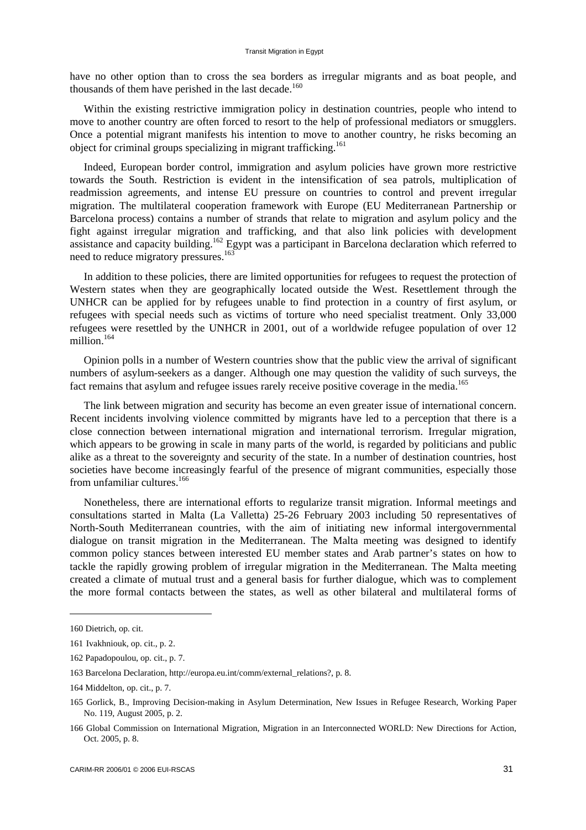have no other option than to cross the sea borders as irregular migrants and as boat people, and thousands of them have perished in the last decade.<sup>160</sup>

Within the existing restrictive immigration policy in destination countries, people who intend to move to another country are often forced to resort to the help of professional mediators or smugglers. Once a potential migrant manifests his intention to move to another country, he risks becoming an object for criminal groups specializing in migrant trafficking.<sup>161</sup>

Indeed, European border control, immigration and asylum policies have grown more restrictive towards the South. Restriction is evident in the intensification of sea patrols, multiplication of readmission agreements, and intense EU pressure on countries to control and prevent irregular migration. The multilateral cooperation framework with Europe (EU Mediterranean Partnership or Barcelona process) contains a number of strands that relate to migration and asylum policy and the fight against irregular migration and trafficking, and that also link policies with development assistance and capacity building.<sup>162</sup> Egypt was a participant in Barcelona declaration which referred to need to reduce migratory pressures.<sup>163</sup>

In addition to these policies, there are limited opportunities for refugees to request the protection of Western states when they are geographically located outside the West. Resettlement through the UNHCR can be applied for by refugees unable to find protection in a country of first asylum, or refugees with special needs such as victims of torture who need specialist treatment. Only 33,000 refugees were resettled by the UNHCR in 2001, out of a worldwide refugee population of over 12 million.<sup>164</sup>

Opinion polls in a number of Western countries show that the public view the arrival of significant numbers of asylum-seekers as a danger. Although one may question the validity of such surveys, the fact remains that asylum and refugee issues rarely receive positive coverage in the media.<sup>165</sup>

The link between migration and security has become an even greater issue of international concern. Recent incidents involving violence committed by migrants have led to a perception that there is a close connection between international migration and international terrorism. Irregular migration, which appears to be growing in scale in many parts of the world, is regarded by politicians and public alike as a threat to the sovereignty and security of the state. In a number of destination countries, host societies have become increasingly fearful of the presence of migrant communities, especially those from unfamiliar cultures.<sup>166</sup>

Nonetheless, there are international efforts to regularize transit migration. Informal meetings and consultations started in Malta (La Valletta) 25-26 February 2003 including 50 representatives of North-South Mediterranean countries, with the aim of initiating new informal intergovernmental dialogue on transit migration in the Mediterranean. The Malta meeting was designed to identify common policy stances between interested EU member states and Arab partner's states on how to tackle the rapidly growing problem of irregular migration in the Mediterranean. The Malta meeting created a climate of mutual trust and a general basis for further dialogue, which was to complement the more formal contacts between the states, as well as other bilateral and multilateral forms of

<sup>160</sup> Dietrich, op. cit.

<sup>161</sup> Ivakhniouk, op. cit., p. 2.

<sup>162</sup> Papadopoulou, op. cit., p. 7.

<sup>163</sup> Barcelona Declaration, [http://europa.eu.int/comm/external\\_relations?,](http://europa.eu.int/comm/external_relations?) p. 8.

<sup>164</sup> Middelton, op. cit., p. 7.

<sup>165</sup> Gorlick, B., Improving Decision-making in Asylum Determination, New Issues in Refugee Research, Working Paper No. 119, August 2005, p. 2.

<sup>166</sup> Global Commission on International Migration, Migration in an Interconnected WORLD: New Directions for Action, Oct. 2005, p. 8.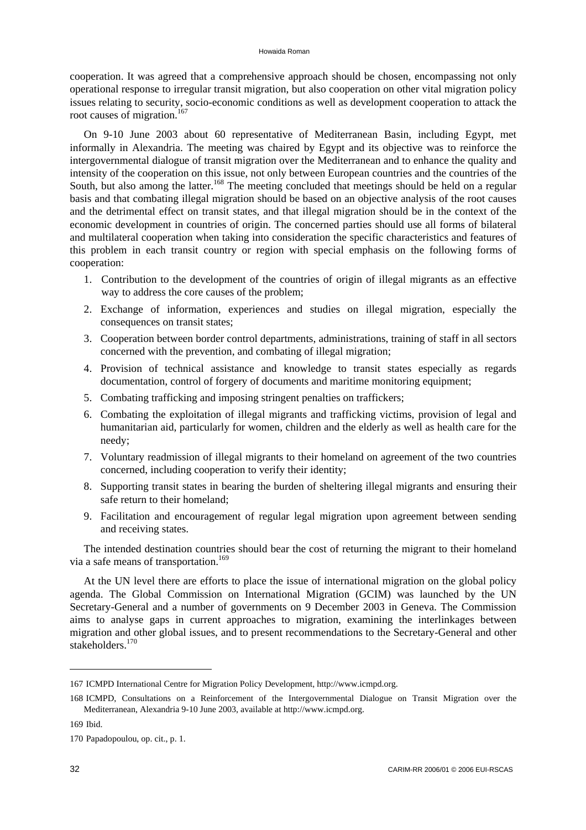cooperation. It was agreed that a comprehensive approach should be chosen, encompassing not only operational response to irregular transit migration, but also cooperation on other vital migration policy issues relating to security, socio-economic conditions as well as development cooperation to attack the root causes of migration.<sup>167</sup>

On 9-10 June 2003 about 60 representative of Mediterranean Basin, including Egypt, met informally in Alexandria. The meeting was chaired by Egypt and its objective was to reinforce the intergovernmental dialogue of transit migration over the Mediterranean and to enhance the quality and intensity of the cooperation on this issue, not only between European countries and the countries of the South, but also among the latter.<sup>168</sup> The meeting concluded that meetings should be held on a regular basis and that combating illegal migration should be based on an objective analysis of the root causes and the detrimental effect on transit states, and that illegal migration should be in the context of the economic development in countries of origin. The concerned parties should use all forms of bilateral and multilateral cooperation when taking into consideration the specific characteristics and features of this problem in each transit country or region with special emphasis on the following forms of cooperation:

- 1. Contribution to the development of the countries of origin of illegal migrants as an effective way to address the core causes of the problem;
- 2. Exchange of information, experiences and studies on illegal migration, especially the consequences on transit states;
- 3. Cooperation between border control departments, administrations, training of staff in all sectors concerned with the prevention, and combating of illegal migration;
- 4. Provision of technical assistance and knowledge to transit states especially as regards documentation, control of forgery of documents and maritime monitoring equipment;
- 5. Combating trafficking and imposing stringent penalties on traffickers;
- 6. Combating the exploitation of illegal migrants and trafficking victims, provision of legal and humanitarian aid, particularly for women, children and the elderly as well as health care for the needy;
- 7. Voluntary readmission of illegal migrants to their homeland on agreement of the two countries concerned, including cooperation to verify their identity;
- 8. Supporting transit states in bearing the burden of sheltering illegal migrants and ensuring their safe return to their homeland;
- 9. Facilitation and encouragement of regular legal migration upon agreement between sending and receiving states.

The intended destination countries should bear the cost of returning the migrant to their homeland via a safe means of transportation.<sup>169</sup>

At the UN level there are efforts to place the issue of international migration on the global policy agenda. The Global Commission on International Migration (GCIM) was launched by the UN Secretary-General and a number of governments on 9 December 2003 in Geneva. The Commission aims to analyse gaps in current approaches to migration, examining the interlinkages between migration and other global issues, and to present recommendations to the Secretary-General and other stakeholders<sup>170</sup>

<sup>167</sup> ICMPD International Centre for Migration Policy Development, [http://www.icmpd.org.](http://www.icmpd.org)

<sup>168</sup> ICMPD, Consultations on a Reinforcement of the Intergovernmental Dialogue on Transit Migration over the Mediterranean, Alexandria 9-10 June 2003, available at [http://www.icmpd.org.](http://www.icmpd.org)

<sup>169</sup> Ibid.

<sup>170</sup> Papadopoulou, op. cit., p. 1.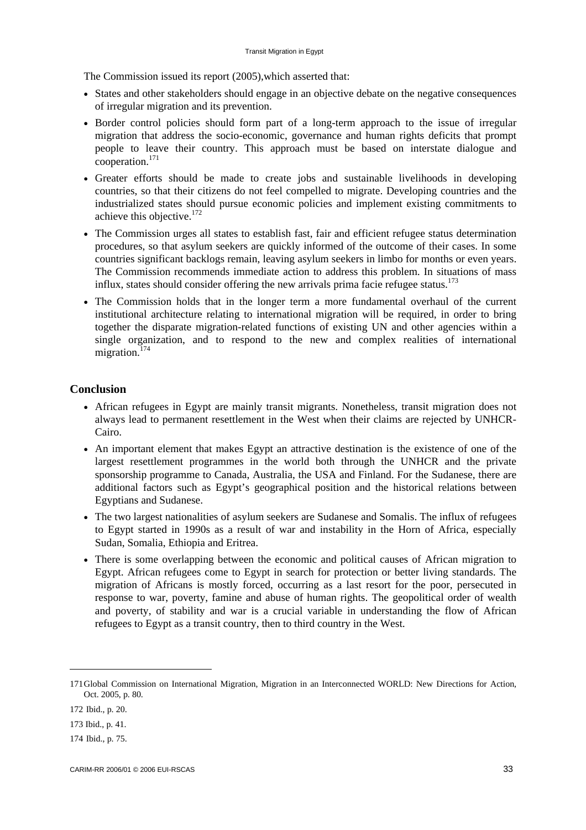The Commission issued its report (2005),which asserted that:

- States and other stakeholders should engage in an objective debate on the negative consequences of irregular migration and its prevention.
- Border control policies should form part of a long-term approach to the issue of irregular migration that address the socio-economic, governance and human rights deficits that prompt people to leave their country. This approach must be based on interstate dialogue and  $\frac{1}{2}$ cooperation.<sup>171</sup>
- Greater efforts should be made to create jobs and sustainable livelihoods in developing countries, so that their citizens do not feel compelled to migrate. Developing countries and the industrialized states should pursue economic policies and implement existing commitments to achieve this objective.172
- The Commission urges all states to establish fast, fair and efficient refugee status determination procedures, so that asylum seekers are quickly informed of the outcome of their cases. In some countries significant backlogs remain, leaving asylum seekers in limbo for months or even years. The Commission recommends immediate action to address this problem. In situations of mass influx, states should consider offering the new arrivals prima facie refugee status. $^{173}$
- The Commission holds that in the longer term a more fundamental overhaul of the current institutional architecture relating to international migration will be required, in order to bring together the disparate migration-related functions of existing UN and other agencies within a single organization, and to respond to the new and complex realities of international migration.<sup>174</sup>

# **Conclusion**

- African refugees in Egypt are mainly transit migrants. Nonetheless, transit migration does not always lead to permanent resettlement in the West when their claims are rejected by UNHCR-Cairo.
- An important element that makes Egypt an attractive destination is the existence of one of the largest resettlement programmes in the world both through the UNHCR and the private sponsorship programme to Canada, Australia, the USA and Finland. For the Sudanese, there are additional factors such as Egypt's geographical position and the historical relations between Egyptians and Sudanese.
- The two largest nationalities of asylum seekers are Sudanese and Somalis. The influx of refugees to Egypt started in 1990s as a result of war and instability in the Horn of Africa, especially Sudan, Somalia, Ethiopia and Eritrea.
- There is some overlapping between the economic and political causes of African migration to Egypt. African refugees come to Egypt in search for protection or better living standards. The migration of Africans is mostly forced, occurring as a last resort for the poor, persecuted in response to war, poverty, famine and abuse of human rights. The geopolitical order of wealth and poverty, of stability and war is a crucial variable in understanding the flow of African refugees to Egypt as a transit country, then to third country in the West.

<sup>171</sup> Global Commission on International Migration, Migration in an Interconnected WORLD: New Directions for Action, Oct. 2005, p. 80.

<sup>172</sup> Ibid., p. 20.

<sup>173</sup> Ibid., p. 41.

<sup>174</sup> Ibid., p. 75.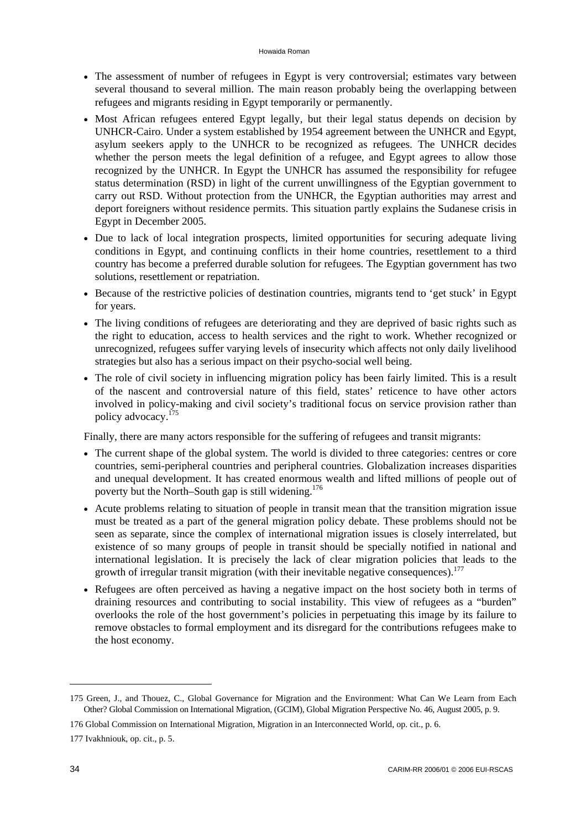- The assessment of number of refugees in Egypt is very controversial; estimates vary between several thousand to several million. The main reason probably being the overlapping between refugees and migrants residing in Egypt temporarily or permanently.
- Most African refugees entered Egypt legally, but their legal status depends on decision by UNHCR-Cairo. Under a system established by 1954 agreement between the UNHCR and Egypt, asylum seekers apply to the UNHCR to be recognized as refugees. The UNHCR decides whether the person meets the legal definition of a refugee, and Egypt agrees to allow those recognized by the UNHCR. In Egypt the UNHCR has assumed the responsibility for refugee status determination (RSD) in light of the current unwillingness of the Egyptian government to carry out RSD. Without protection from the UNHCR, the Egyptian authorities may arrest and deport foreigners without residence permits. This situation partly explains the Sudanese crisis in Egypt in December 2005.
- Due to lack of local integration prospects, limited opportunities for securing adequate living conditions in Egypt, and continuing conflicts in their home countries, resettlement to a third country has become a preferred durable solution for refugees. The Egyptian government has two solutions, resettlement or repatriation.
- Because of the restrictive policies of destination countries, migrants tend to 'get stuck' in Egypt for years.
- The living conditions of refugees are deteriorating and they are deprived of basic rights such as the right to education, access to health services and the right to work. Whether recognized or unrecognized, refugees suffer varying levels of insecurity which affects not only daily livelihood strategies but also has a serious impact on their psycho-social well being.
- The role of civil society in influencing migration policy has been fairly limited. This is a result of the nascent and controversial nature of this field, states' reticence to have other actors involved in policy-making and civil society's traditional focus on service provision rather than policy advocacy.175

Finally, there are many actors responsible for the suffering of refugees and transit migrants:

- The current shape of the global system. The world is divided to three categories: centres or core countries, semi-peripheral countries and peripheral countries. Globalization increases disparities and unequal development. It has created enormous wealth and lifted millions of people out of poverty but the North–South gap is still widening.<sup>176</sup>
- Acute problems relating to situation of people in transit mean that the transition migration issue must be treated as a part of the general migration policy debate. These problems should not be seen as separate, since the complex of international migration issues is closely interrelated, but existence of so many groups of people in transit should be specially notified in national and international legislation. It is precisely the lack of clear migration policies that leads to the growth of irregular transit migration (with their inevitable negative consequences).<sup>177</sup>
- Refugees are often perceived as having a negative impact on the host society both in terms of draining resources and contributing to social instability. This view of refugees as a "burden" overlooks the role of the host government's policies in perpetuating this image by its failure to remove obstacles to formal employment and its disregard for the contributions refugees make to the host economy.

<sup>175</sup> Green, J., and Thouez, C., Global Governance for Migration and the Environment: What Can We Learn from Each Other? Global Commission on International Migration, (GCIM), Global Migration Perspective No. 46, August 2005, p. 9.

<sup>176</sup> Global Commission on International Migration, Migration in an Interconnected World, op. cit., p. 6.

<sup>177</sup> Ivakhniouk, op. cit., p. 5.